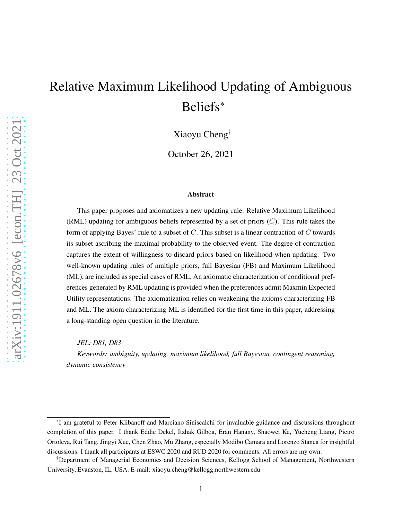# Relative Maximum Likelihood Updating of Ambiguous Beliefs\*

Xiaoyu Cheng†

October 26, 2021

#### Abstract

This paper proposes and axiomatizes a new updating rule: Relative Maximum Likelihood (RML) updating for ambiguous beliefs represented by a set of priors  $(C)$ . This rule takes the form of applying Bayes' rule to a subset of  $C$ . This subset is a linear contraction of  $C$  towards its subset ascribing the maximal probability to the observed event. The degree of contraction captures the extent of willingness to discard priors based on likelihood when updating. Two well-known updating rules of multiple priors, full Bayesian (FB) and Maximum Likelihood (ML), are included as special cases of RML. An axiomatic characterization of conditional preferences generated by RML updating is provided when the preferences admit Maxmin Expected Utility representations. The axiomatization relies on weakening the axioms characterizing FB and ML. The axiom characterizing ML is identified for the first time in this paper, addressing a long-standing open question in the literature.

*JEL: D81, D83 Keywords: ambiguity, updating, maximum likelihood, full Bayesian, contingent reasoning, dynamic consistency*

<sup>\*</sup>I am grateful to Peter Klibanoff and Marciano Siniscalchi for invaluable guidance and discussions throughout completion of this paper. I thank Eddie Dekel, Itzhak Gilboa, Eran Hanany, Shaowei Ke, Yucheng Liang, Pietro Ortoleva, Rui Tang, Jingyi Xue, Chen Zhao, Mu Zhang, especially Modibo Camara and Lorenzo Stanca for insightful discussions. I thank all participants at ESWC 2020 and RUD 2020 for comments. All errors are my own.

<sup>†</sup>Department of Managerial Economics and Decision Sciences, Kellogg School of Management, Northwestern University, Evanston, IL, USA. E-mail: xiaoyu.cheng@kellogg.northwestern.edu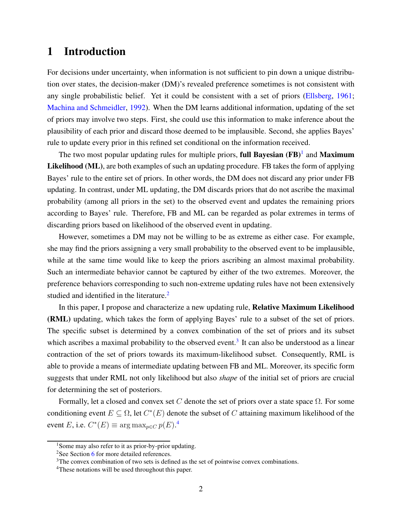# 1 Introduction

For decisions under uncertainty, when information is not sufficient to pin down a unique distribution over states, the decision-maker (DM)'s revealed preference sometimes is not consistent with any single probabilistic belief. Yet it could be consistent with a set of priors [\(Ellsberg](#page-47-0), [1961;](#page-47-0) [Machina and Schmeidler,](#page-48-0) [1992\)](#page-48-0). When the DM learns additional information, updating of the set of priors may involve two steps. First, she could use this information to make inference about the plausibility of each prior and discard those deemed to be implausible. Second, she applies Bayes' rule to update every prior in this refined set conditional on the information received.

The two most popular updating rules for multiple priors, full Bayesian  $(FB)^1$  and Maximum Likelihood (ML), are both examples of such an updating procedure. FB takes the form of applying Bayes' rule to the entire set of priors. In other words, the DM does not discard any prior under FB updating. In contrast, under ML updating, the DM discards priors that do not ascribe the maximal probability (among all priors in the set) to the observed event and updates the remaining priors according to Bayes' rule. Therefore, FB and ML can be regarded as polar extremes in terms of discarding priors based on likelihood of the observed event in updating.

However, sometimes a DM may not be willing to be as extreme as either case. For example, she may find the priors assigning a very small probability to the observed event to be implausible, while at the same time would like to keep the priors ascribing an almost maximal probability. Such an intermediate behavior cannot be captured by either of the two extremes. Moreover, the preference behaviors corresponding to such non-extreme updating rules have not been extensively studied and identified in the literature.<sup>2</sup>

In this paper, I propose and characterize a new updating rule, Relative Maximum Likelihood (RML) updating, which takes the form of applying Bayes' rule to a subset of the set of priors. The specific subset is determined by a convex combination of the set of priors and its subset which ascribes a maximal probability to the observed event.<sup>3</sup> It can also be understood as a linear contraction of the set of priors towards its maximum-likelihood subset. Consequently, RML is able to provide a means of intermediate updating between FB and ML. Moreover, its specific form suggests that under RML not only likelihood but also *shape* of the initial set of priors are crucial for determining the set of posteriors.

Formally, let a closed and convex set C denote the set of priors over a state space  $\Omega$ . For some conditioning event  $E \subseteq \Omega$ , let  $C^*(E)$  denote the subset of C attaining maximum likelihood of the event E, i.e.  $C^*(E) \equiv \arg \max_{p \in C} p(E)^{A}$ 

<sup>&</sup>lt;sup>1</sup>Some may also refer to it as prior-by-prior updating.

<sup>&</sup>lt;sup>2</sup>See Section [6](#page-22-0) for more detailed references.

<sup>&</sup>lt;sup>3</sup>The convex combination of two sets is defined as the set of pointwise convex combinations.

<sup>4</sup>These notations will be used throughout this paper.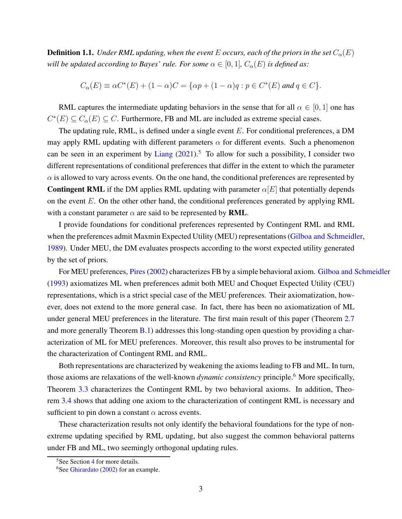<span id="page-2-0"></span>**Definition 1.1.** *Under RML updating, when the event* E *occurs, each of the priors in the set*  $C_{\alpha}(E)$ *will be updated according to Bayes' rule. For some*  $\alpha \in [0,1]$ *,*  $C_{\alpha}(E)$  *is defined as:* 

$$
C_{\alpha}(E) \equiv \alpha C^*(E) + (1 - \alpha)C = \{ \alpha p + (1 - \alpha)q : p \in C^*(E) \text{ and } q \in C \}.
$$

RML captures the intermediate updating behaviors in the sense that for all  $\alpha \in [0,1]$  one has  $C^*(E) \subseteq C_\alpha(E) \subseteq C$ . Furthermore, FB and ML are included as extreme special cases.

The updating rule, RML, is defined under a single event  $E$ . For conditional preferences, a DM may apply RML updating with different parameters  $\alpha$  for different events. Such a phenomenon can be seen in an experiment by [Liang](#page-48-1)  $(2021)$  $(2021)$ .<sup>5</sup> To allow for such a possibility, I consider two different representations of conditional preferences that differ in the extent to which the parameter  $\alpha$  is allowed to vary across events. On the one hand, the conditional preferences are represented by **Contingent RML** if the DM applies RML updating with parameter  $\alpha[E]$  that potentially depends on the event  $E$ . On the other other hand, the conditional preferences generated by applying RML with a constant parameter  $\alpha$  are said to be represented by **RML**.

I provide foundations for conditional preferences represented by Contingent RML and RML when the preferences admit Maxmin Expected Utility (MEU) representations [\(Gilboa and Schmeidler,](#page-47-1) [1989\)](#page-47-1). Under MEU, the DM evaluates prospects according to the worst expected utility generated by the set of priors.

For MEU preferences, Pires (2002) characterizes FB by a simple behavioral axiom. [Gilboa and Schmeidler](#page-47-2) [\(1993\)](#page-47-2) axiomatizes ML when preferences admit both MEU and Choquet Expected Utility (CEU) representations, which is a strict special case of the MEU preferences. Their axiomatization, however, does not extend to the more general case. In fact, there has been no axiomatization of ML under general MEU preferences in the literature. The first main result of this paper (Theorem [2.7](#page-10-0) and more generally Theorem [B.1\)](#page-43-0) addresses this long-standing open question by providing a characterization of ML for MEU preferences. Moreover, this result also proves to be instrumental for the characterization of Contingent RML and RML.

Both representations are characterized by weakening the axioms leading to FB and ML. In turn, those axioms are relaxations of the well-known *dynamic consistency* principle.<sup>6</sup> More specifically, Theorem [3.3](#page-13-0) characterizes the Contingent RML by two behavioral axioms. In addition, Theorem [3.4](#page-15-0) shows that adding one axiom to the characterization of contingent RML is necessary and sufficient to pin down a constant  $\alpha$  across events.

These characterization results not only identify the behavioral foundations for the type of nonextreme updating specified by RML updating, but also suggest the common behavioral patterns under FB and ML, two seemingly orthogonal updating rules.

<sup>&</sup>lt;sup>5</sup>See Section [4](#page-16-0) for more details.

 $6$ See [Ghirardato](#page-47-3) [\(2002\)](#page-47-3) for an example.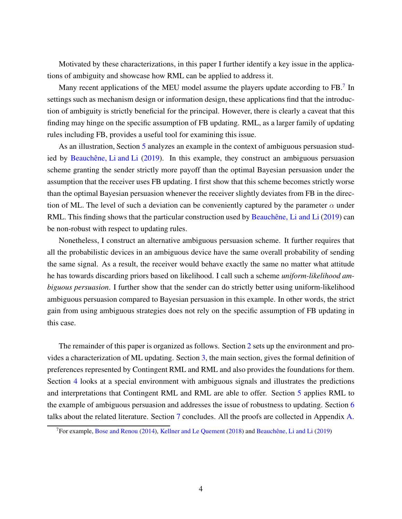Motivated by these characterizations, in this paper I further identify a key issue in the applications of ambiguity and showcase how RML can be applied to address it.

Many recent applications of the MEU model assume the players update according to FB.<sup>7</sup> In settings such as mechanism design or information design, these applications find that the introduction of ambiguity is strictly beneficial for the principal. However, there is clearly a caveat that this finding may hinge on the specific assumption of FB updating. RML, as a larger family of updating rules including FB, provides a useful tool for examining this issue.

As an illustration, Section [5](#page-19-0) analyzes an example in the context of ambiguous persuasion stud-ied by Beauchêne, Li and Li [\(2019](#page-47-4)). In this example, they construct an ambiguous persuasion scheme granting the sender strictly more payoff than the optimal Bayesian persuasion under the assumption that the receiver uses FB updating. I first show that this scheme becomes strictly worse than the optimal Bayesian persuasion whenever the receiver slightly deviates from FB in the direction of ML. The level of such a deviation can be conveniently captured by the parameter  $\alpha$  under RML. This finding shows that the particular construction used by Beauchêne, Li and Li [\(2019\)](#page-47-4) can be non-robust with respect to updating rules.

Nonetheless, I construct an alternative ambiguous persuasion scheme. It further requires that all the probabilistic devices in an ambiguous device have the same overall probability of sending the same signal. As a result, the receiver would behave exactly the same no matter what attitude he has towards discarding priors based on likelihood. I call such a scheme *uniform-likelihood ambiguous persuasion*. I further show that the sender can do strictly better using uniform-likelihood ambiguous persuasion compared to Bayesian persuasion in this example. In other words, the strict gain from using ambiguous strategies does not rely on the specific assumption of FB updating in this case.

The remainder of this paper is organized as follows. Section [2](#page-4-0) sets up the environment and provides a characterization of ML updating. Section [3,](#page-10-1) the main section, gives the formal definition of preferences represented by Contingent RML and RML and also provides the foundations for them. Section [4](#page-16-0) looks at a special environment with ambiguous signals and illustrates the predictions and interpretations that Contingent RML and RML are able to offer. Section [5](#page-19-0) applies RML to the example of ambiguous persuasion and addresses the issue of robustness to updating. Section [6](#page-22-0) talks about the related literature. Section [7](#page-26-0) concludes. All the proofs are collected in Appendix [A.](#page-28-0)

<sup>&</sup>lt;sup>7</sup>For example, [Bose and Renou](#page-47-5) [\(2014\)](#page-47-5), [Kellner and Le Quement](#page-48-2) [\(2018\)](#page-48-2) and Beauchêne, Li and Li [\(2019\)](#page-47-4)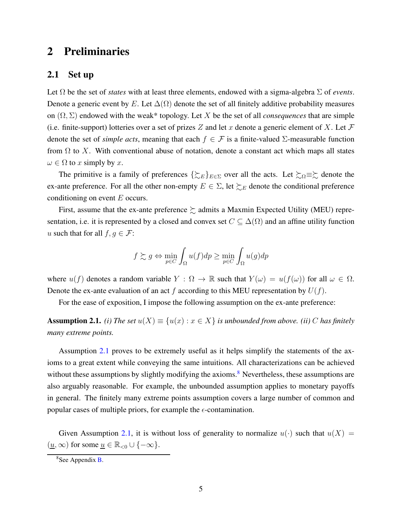## <span id="page-4-0"></span>2 Preliminaries

#### 2.1 Set up

Let  $\Omega$  be the set of *states* with at least three elements, endowed with a sigma-algebra  $\Sigma$  of *events*. Denote a generic event by E. Let  $\Delta(\Omega)$  denote the set of all finitely additive probability measures on (Ω, Σ) endowed with the weak\* topology. Let X be the set of all *consequences* that are simple (i.e. finite-support) lotteries over a set of prizes Z and let x denote a generic element of X. Let  $\mathcal F$ denote the set of *simple acts*, meaning that each  $f \in \mathcal{F}$  is a finite-valued  $\Sigma$ -measurable function from  $\Omega$  to X. With conventional abuse of notation, denote a constant act which maps all states  $\omega \in \Omega$  to x simply by x.

The primitive is a family of preferences  $\{\gtrsim_E\}_{E\in\Sigma}$  over all the acts. Let  $\succsim_{\Omega} \equiv \gtrsim$  denote the ex-ante preference. For all the other non-empty  $E \in \Sigma$ , let  $\succsim_E$  denote the conditional preference conditioning on event  $E$  occurs.

First, assume that the ex-ante preference  $\succeq$  admits a Maxmin Expected Utility (MEU) representation, i.e. it is represented by a closed and convex set  $C \subseteq \Delta(\Omega)$  and an affine utility function u such that for all  $f, g \in \mathcal{F}$ :

$$
f \succsim g \Leftrightarrow \min_{p \in C} \int_{\Omega} u(f) dp \ge \min_{p \in C} \int_{\Omega} u(g) dp
$$

where  $u(f)$  denotes a random variable  $Y : \Omega \to \mathbb{R}$  such that  $Y(\omega) = u(f(\omega))$  for all  $\omega \in \Omega$ . Denote the ex-ante evaluation of an act f according to this MEU representation by  $U(f)$ .

For the ease of exposition, I impose the following assumption on the ex-ante preference:

<span id="page-4-1"></span>**Assumption 2.1.** *(i) The set*  $u(X) \equiv \{u(x) : x \in X\}$  *is unbounded from above. (ii) C has finitely many extreme points.*

Assumption [2.1](#page-4-1) proves to be extremely useful as it helps simplify the statements of the axioms to a great extent while conveying the same intuitions. All characterizations can be achieved without these assumptions by slightly modifying the axioms.<sup>8</sup> Nevertheless, these assumptions are also arguably reasonable. For example, the unbounded assumption applies to monetary payoffs in general. The finitely many extreme points assumption covers a large number of common and popular cases of multiple priors, for example the  $\epsilon$ -contamination.

Given Assumption [2.1,](#page-4-1) it is without loss of generality to normalize  $u(\cdot)$  such that  $u(X) =$  $(\underline{u}, \infty)$  for some  $\underline{u} \in \mathbb{R}_{< 0} \cup \{-\infty\}.$ 

 $8$ See Appendix **B**.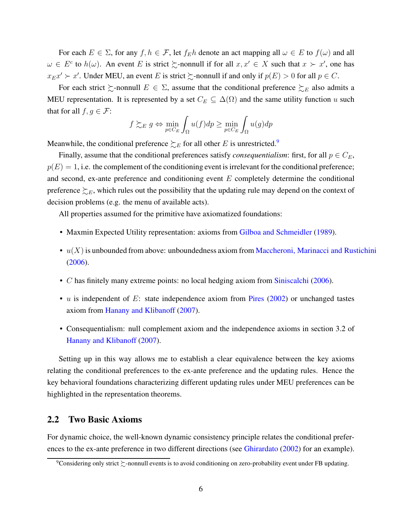For each  $E \in \Sigma$ , for any  $f, h \in \mathcal{F}$ , let  $f_E h$  denote an act mapping all  $\omega \in E$  to  $f(\omega)$  and all  $\omega \in E^c$  to  $h(\omega)$ . An event E is strict  $\succsim$ -nonnull if for all  $x, x' \in X$  such that  $x \succ x'$ , one has  $x_{E}x' \succ x'$ . Under MEU, an event E is strict  $\succsim$ -nonnull if and only if  $p(E) > 0$  for all  $p \in C$ .

For each strict  $\succsim$ -nonnull  $E \in \Sigma$ , assume that the conditional preference  $\succsim_{E}$  also admits a MEU representation. It is represented by a set  $C_E \subseteq \Delta(\Omega)$  and the same utility function u such that for all  $f, g \in \mathcal{F}$ :

$$
f \gtrsim_E g \Leftrightarrow \min_{p \in C_E} \int_{\Omega} u(f) dp \ge \min_{p \in C_E} \int_{\Omega} u(g) dp
$$

Meanwhile, the conditional preference  $\succeq_E$  for all other E is unrestricted.<sup>9</sup>

Finally, assume that the conditional preferences satisfy *consequentialism*: first, for all  $p \in C_E$ ,  $p(E) = 1$ , i.e. the complement of the conditioning event is irrelevant for the conditional preference; and second, ex-ante preference and conditioning event E completely determine the conditional preference  $\succeq_E$ , which rules out the possibility that the updating rule may depend on the context of decision problems (e.g. the menu of available acts).

All properties assumed for the primitive have axiomatized foundations:

- Maxmin Expected Utility representation: axioms from [Gilboa and Schmeidler](#page-47-1) [\(1989](#page-47-1)).
- $u(X)$  is unbounded from above: unboundedness axiom from [Maccheroni, Marinacci and Rustichini](#page-48-3) [\(2006](#page-48-3)).
- C has finitely many extreme points: no local hedging axiom from [Siniscalchi](#page-49-1) [\(2006](#page-49-1)).
- $u$  is independent of  $E$ : state independence axiom from [Pires](#page-49-0) [\(2002\)](#page-49-0) or unchanged tastes axiom from [Hanany and Klibanoff](#page-48-4) [\(2007\)](#page-48-4).
- Consequentialism: null complement axiom and the independence axioms in section 3.2 of [Hanany and Klibanoff](#page-48-4) [\(2007\)](#page-48-4).

Setting up in this way allows me to establish a clear equivalence between the key axioms relating the conditional preferences to the ex-ante preference and the updating rules. Hence the key behavioral foundations characterizing different updating rules under MEU preferences can be highlighted in the representation theorems.

## 2.2 Two Basic Axioms

For dynamic choice, the well-known dynamic consistency principle relates the conditional preferences to the ex-ante preference in two different directions (see [Ghirardato](#page-47-3) [\(2002\)](#page-47-3) for an example).

<sup>&</sup>lt;sup>9</sup>Considering only strict  $\succsim$ -nonnull events is to avoid conditioning on zero-probability event under FB updating.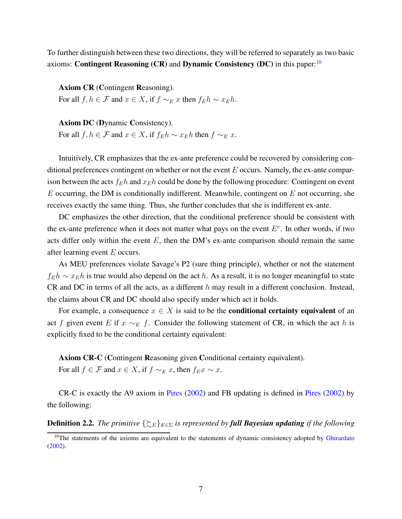To further distinguish between these two directions, they will be referred to separately as two basic axioms: Contingent Reasoning  $(CR)$  and Dynamic Consistency  $(DC)$  in this paper:<sup>10</sup>

Axiom CR (Contingent Reasoning).

For all  $f, h \in \mathcal{F}$  and  $x \in X$ , if  $f \sim_E x$  then  $f_E h \sim x_E h$ .

Axiom DC (Dynamic Consistency). For all  $f, h \in \mathcal{F}$  and  $x \in X$ , if  $f_E h \sim x_E h$  then  $f \sim_E x$ .

Intuitively, CR emphasizes that the ex-ante preference could be recovered by considering conditional preferences contingent on whether or not the event  $E$  occurs. Namely, the ex-ante comparison between the acts  $f_E h$  and  $x_E h$  could be done by the following procedure: Contingent on event  $E$  occurring, the DM is conditionally indifferent. Meanwhile, contingent on  $E$  not occurring, she receives exactly the same thing. Thus, she further concludes that she is indifferent ex-ante.

DC emphasizes the other direction, that the conditional preference should be consistent with the ex-ante preference when it does not matter what pays on the event  $E<sup>c</sup>$ . In other words, if two acts differ only within the event  $E$ , then the DM's ex-ante comparison should remain the same after learning event  $E$  occurs.

As MEU preferences violate Savage's P2 (sure thing principle), whether or not the statement  $f_E h \sim x_E h$  is true would also depend on the act h. As a result, it is no longer meaningful to state CR and DC in terms of all the acts, as a different h may result in a different conclusion. Instead, the claims about CR and DC should also specify under which act it holds.

For example, a consequence  $x \in X$  is said to be the **conditional certainty equivalent** of an act f given event E if  $x \sim_E f$ . Consider the following statement of CR, in which the act h is explicitly fixed to be the conditional certainty equivalent:

Axiom CR-C (Contingent Reasoning given Conditional certainty equivalent). For all  $f \in \mathcal{F}$  and  $x \in X$ , if  $f \sim_E x$ , then  $f_{E}x \sim x$ .

CR-C is exactly the A9 axiom in [Pires](#page-49-0) [\(2002](#page-49-0)) and FB updating is defined in [Pires](#page-49-0) [\(2002](#page-49-0)) by the following:

**Definition 2.2.** *The primitive*  $\{\sum_{E\in\Sigma}$  *is represented by full Bayesian updating if the following* 

<sup>&</sup>lt;sup>10</sup>The statements of the axioms are equivalent to the statements of dynamic consistency adopted by [Ghirardato](#page-47-3) [\(2002\)](#page-47-3).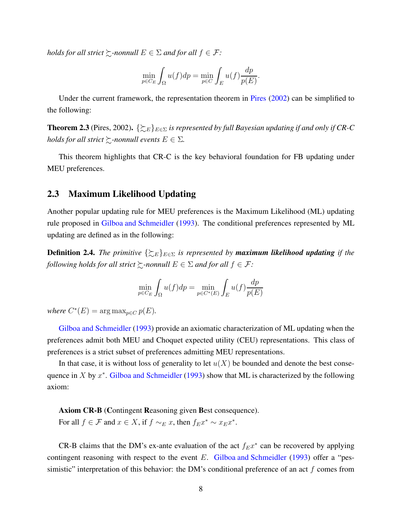*holds for all strict*  $\succsim$ -nonnull  $E \in \Sigma$  *and for all*  $f \in \mathcal{F}$ :

$$
\min_{p \in C_E} \int_{\Omega} u(f) dp = \min_{p \in C} \int_{E} u(f) \frac{dp}{p(E)}.
$$

Under the current framework, the representation theorem in [Pires](#page-49-0) [\(2002](#page-49-0)) can be simplified to the following:

**Theorem 2.3** (Pires, 2002).  $\{\gtrsim_E\}_{E\in\Sigma}$  is represented by full Bayesian updating if and only if CR-C *holds for all strict*  $\gtrsim$ *-nonnull events*  $E \in \Sigma$ *.* 

This theorem highlights that CR-C is the key behavioral foundation for FB updating under MEU preferences.

#### 2.3 Maximum Likelihood Updating

Another popular updating rule for MEU preferences is the Maximum Likelihood (ML) updating rule proposed in [Gilboa and Schmeidler](#page-47-2) [\(1993\)](#page-47-2). The conditional preferences represented by ML updating are defined as in the following:

**Definition 2.4.** *The primitive*  $\{\sum_{E\}\}_{E\in\Sigma}$  *is represented by maximum likelihood updating <i>if the following holds for all strict*  $\succsim$ -nonnull  $E \in \Sigma$  and for all  $f \in \mathcal{F}$ :

$$
\min_{p \in C_E} \int_{\Omega} u(f) dp = \min_{p \in C^*(E)} \int_{E} u(f) \frac{dp}{p(E)}
$$

*where*  $C^*(E) = \arg \max_{p \in C} p(E)$ *.* 

[Gilboa and Schmeidler](#page-47-2) [\(1993](#page-47-2)) provide an axiomatic characterization of ML updating when the preferences admit both MEU and Choquet expected utility (CEU) representations. This class of preferences is a strict subset of preferences admitting MEU representations.

In that case, it is without loss of generality to let  $u(X)$  be bounded and denote the best consequence in X by  $x^*$ . [Gilboa and Schmeidler](#page-47-2) [\(1993](#page-47-2)) show that ML is characterized by the following axiom:

Axiom CR-B (Contingent Reasoning given Best consequence).

For all  $f \in \mathcal{F}$  and  $x \in X$ , if  $f \sim_E x$ , then  $f_{E}x^* \sim x_{E}x^*$ .

CR-B claims that the DM's ex-ante evaluation of the act  $f_{E}x^*$  can be recovered by applying contingent reasoning with respect to the event  $E$ . [Gilboa and Schmeidler](#page-47-2) [\(1993\)](#page-47-2) offer a "pessimistic" interpretation of this behavior: the DM's conditional preference of an act  $f$  comes from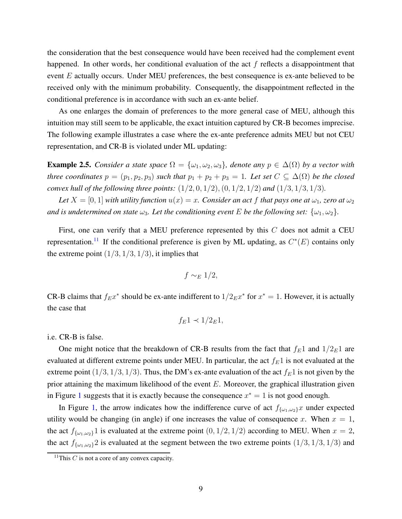the consideration that the best consequence would have been received had the complement event happened. In other words, her conditional evaluation of the act  $f$  reflects a disappointment that event  $E$  actually occurs. Under MEU preferences, the best consequence is ex-ante believed to be received only with the minimum probability. Consequently, the disappointment reflected in the conditional preference is in accordance with such an ex-ante belief.

As one enlarges the domain of preferences to the more general case of MEU, although this intuition may still seem to be applicable, the exact intuition captured by CR-B becomes imprecise. The following example illustrates a case where the ex-ante preference admits MEU but not CEU representation, and CR-B is violated under ML updating:

<span id="page-8-0"></span>**Example 2.5.** *Consider a state space*  $\Omega = {\omega_1, \omega_2, \omega_3}$ , *denote any*  $p \in \Delta(\Omega)$  *by a vector with three coordinates*  $p = (p_1, p_2, p_3)$  *such that*  $p_1 + p_2 + p_3 = 1$ *. Let set*  $C \subseteq \Delta(\Omega)$  *be the closed convex hull of the following three points:* (1/2, 0, 1/2),(0, 1/2, 1/2) *and* (1/3, 1/3, 1/3)*.*

*Let*  $X = [0, 1]$  *with utility function*  $u(x) = x$ *. Consider an act f that pays one at*  $\omega_1$ *, zero at*  $\omega_2$ *and is undetermined on state*  $\omega_3$ *. Let the conditioning event* E *be the following set:*  $\{\omega_1, \omega_2\}$ *.* 

First, one can verify that a MEU preference represented by this  $C$  does not admit a CEU representation.<sup>11</sup> If the conditional preference is given by ML updating, as  $C^*(E)$  contains only the extreme point  $(1/3, 1/3, 1/3)$ , it implies that

$$
f \sim_E 1/2,
$$

CR-B claims that  $f_{E}x^*$  should be ex-ante indifferent to  $1/2_{E}x^*$  for  $x^* = 1$ . However, it is actually the case that

$$
f_E 1 \prec 1/2_E 1,
$$

i.e. CR-B is false.

One might notice that the breakdown of CR-B results from the fact that  $f_E1$  and  $1/2_E1$  are evaluated at different extreme points under MEU. In particular, the act  $f_E1$  is not evaluated at the extreme point  $(1/3, 1/3, 1/3)$ . Thus, the DM's ex-ante evaluation of the act  $f_E1$  is not given by the prior attaining the maximum likelihood of the event  $E$ . Moreover, the graphical illustration given in Figure [1](#page-9-0) suggests that it is exactly because the consequence  $x^* = 1$  is not good enough.

In Figure [1,](#page-9-0) the arrow indicates how the indifference curve of act  $f_{\{\omega_1,\omega_2\}}x$  under expected utility would be changing (in angle) if one increases the value of consequence x. When  $x = 1$ , the act  $f_{\{\omega_1,\omega_2\}}1$  is evaluated at the extreme point  $(0, 1/2, 1/2)$  according to MEU. When  $x = 2$ , the act  $f_{\{\omega_1,\omega_2\}}$  is evaluated at the segment between the two extreme points  $(1/3, 1/3, 1/3)$  and

<sup>&</sup>lt;sup>11</sup>This  $C$  is not a core of any convex capacity.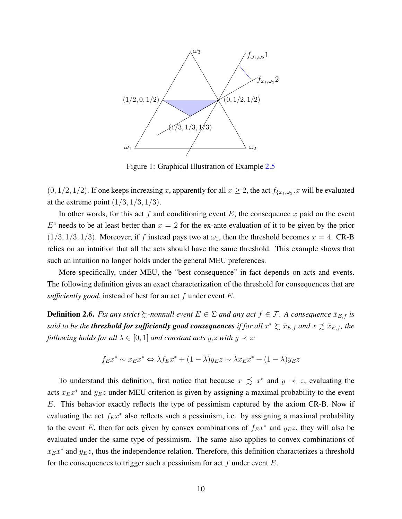<span id="page-9-0"></span>

Figure 1: Graphical Illustration of Example [2.5](#page-8-0)

 $(0, 1/2, 1/2)$ . If one keeps increasing x, apparently for all  $x \ge 2$ , the act  $f_{\{\omega_1,\omega_2\}}x$  will be evaluated at the extreme point  $(1/3, 1/3, 1/3)$ .

In other words, for this act  $f$  and conditioning event  $E$ , the consequence  $x$  paid on the event  $E<sup>c</sup>$  needs to be at least better than  $x = 2$  for the ex-ante evaluation of it to be given by the prior  $(1/3, 1/3, 1/3)$ . Moreover, if f instead pays two at  $\omega_1$ , then the threshold becomes  $x = 4$ . CR-B relies on an intuition that all the acts should have the same threshold. This example shows that such an intuition no longer holds under the general MEU preferences.

More specifically, under MEU, the "best consequence" in fact depends on acts and events. The following definition gives an exact characterization of the threshold for consequences that are *sufficiently good*, instead of best for an act f under event E.

**Definition 2.6.** *Fix any strict*  $\succsim$ -nonnull event  $E \in \Sigma$  and any act  $f \in \mathcal{F}$ . A consequence  $\bar{x}_{E,f}$  is said to be the **threshold for sufficiently good consequences** if for all  $x^* \succsim \bar{x}_{E,f}$  and  $x \precsim \bar{x}_{E,f}$ , the *following holds for all*  $\lambda \in [0, 1]$  *and constant acts y,z with y*  $\prec$  *z:* 

$$
f_{E}x^{*} \sim x_{E}x^{*} \Leftrightarrow \lambda f_{E}x^{*} + (1 - \lambda)y_{E}z \sim \lambda x_{E}x^{*} + (1 - \lambda)y_{E}z
$$

To understand this definition, first notice that because  $x \precsim x^*$  and  $y \prec z$ , evaluating the acts  $x_{E}x^{*}$  and  $y_{E}z$  under MEU criterion is given by assigning a maximal probability to the event E. This behavior exactly reflects the type of pessimism captured by the axiom CR-B. Now if evaluating the act  $f_{E}x^*$  also reflects such a pessimism, i.e. by assigning a maximal probability to the event E, then for acts given by convex combinations of  $f_{E}x^*$  and  $y_{E}z$ , they will also be evaluated under the same type of pessimism. The same also applies to convex combinations of  $x_{E}x^{*}$  and  $y_{E}z$ , thus the independence relation. Therefore, this definition characterizes a threshold for the consequences to trigger such a pessimism for act  $f$  under event  $E$ .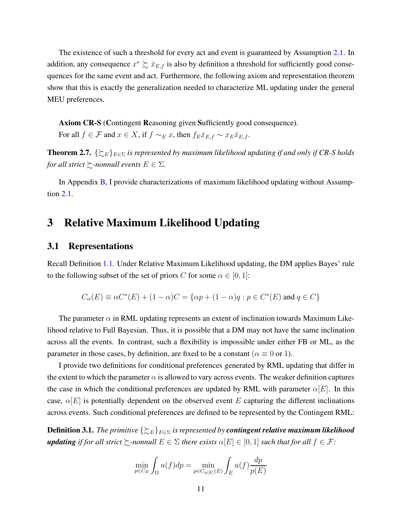The existence of such a threshold for every act and event is guaranteed by Assumption [2.1.](#page-4-1) In addition, any consequence  $x^* \succsim \bar{x}_{E,f}$  is also by definition a threshold for sufficiently good consequences for the same event and act. Furthermore, the following axiom and representation theorem show that this is exactly the generalization needed to characterize ML updating under the general MEU preferences.

Axiom CR-S (Contingent Reasoning given Sufficiently good consequence). For all  $f \in \mathcal{F}$  and  $x \in X$ , if  $f \sim_E x$ , then  $f_E \bar{x}_{E,f} \sim x_E \bar{x}_{E,f}$ .

<span id="page-10-0"></span>**Theorem 2.7.**  $\{\gtrsim_{E}\}_{E\in\Sigma}$  *is represented by maximum likelihood updating if and only if CR-S holds for all strict*  $\succsim$ *-nonnull events*  $E \in \Sigma$ *.* 

<span id="page-10-1"></span>In Appendix [B,](#page-42-0) I provide characterizations of maximum likelihood updating without Assumption [2.1.](#page-4-1)

## 3 Relative Maximum Likelihood Updating

#### 3.1 Representations

Recall Definition [1.1.](#page-2-0) Under Relative Maximum Likelihood updating, the DM applies Bayes' rule to the following subset of the set of priors C for some  $\alpha \in [0, 1]$ :

$$
C_{\alpha}(E) \equiv \alpha C^*(E) + (1 - \alpha)C = \{ \alpha p + (1 - \alpha)q : p \in C^*(E) \text{ and } q \in C \}
$$

The parameter  $\alpha$  in RML updating represents an extent of inclination towards Maximum Likelihood relative to Full Bayesian. Thus, it is possible that a DM may not have the same inclination across all the events. In contrast, such a flexibility is impossible under either FB or ML, as the parameter in those cases, by definition, are fixed to be a constant ( $\alpha \equiv 0$  or 1).

I provide two definitions for conditional preferences generated by RML updating that differ in the extent to which the parameter  $\alpha$  is allowed to vary across events. The weaker definition captures the case in which the conditional preferences are updated by RML with parameter  $\alpha[E]$ . In this case,  $\alpha[E]$  is potentially dependent on the observed event E capturing the different inclinations across events. Such conditional preferences are defined to be represented by the Contingent RML:

**Definition 3.1.** *The primitive*  $\{\gtrsim_{E}\}_{E\in\Sigma}$  *is represented by contingent relative maximum likelihood updating if for all strict*  $\succeq$ *-nonnull*  $E \in \Sigma$  *there exists*  $\alpha[E] \in [0,1]$  *such that for all*  $f \in \mathcal{F}$ *:* 

$$
\min_{p \in C_E} \int_{\Omega} u(f) dp = \min_{p \in C_{\alpha[E]}(E)} \int_{E} u(f) \frac{dp}{p(E)}
$$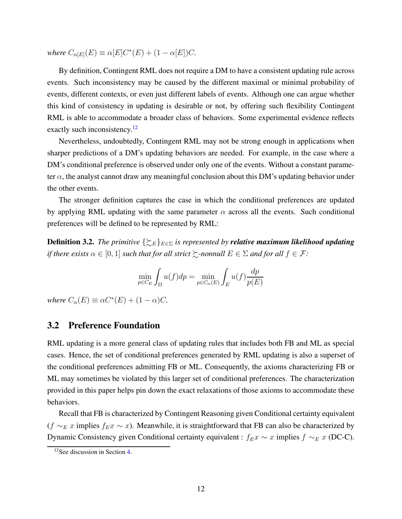*where*  $C_{\alpha[E]}(E) \equiv \alpha[E]C^*(E) + (1 - \alpha[E])C$ *.* 

By definition, Contingent RML does not require a DM to have a consistent updating rule across events. Such inconsistency may be caused by the different maximal or minimal probability of events, different contexts, or even just different labels of events. Although one can argue whether this kind of consistency in updating is desirable or not, by offering such flexibility Contingent RML is able to accommodate a broader class of behaviors. Some experimental evidence reflects exactly such inconsistency.<sup>12</sup>

Nevertheless, undoubtedly, Contingent RML may not be strong enough in applications when sharper predictions of a DM's updating behaviors are needed. For example, in the case where a DM's conditional preference is observed under only one of the events. Without a constant parameter  $\alpha$ , the analyst cannot draw any meaningful conclusion about this DM's updating behavior under the other events.

The stronger definition captures the case in which the conditional preferences are updated by applying RML updating with the same parameter  $\alpha$  across all the events. Such conditional preferences will be defined to be represented by RML:

**Definition 3.2.** *The primitive*  $\{\sum_{E\in\Sigma}$  *is represented by relative maximum likelihood updating if there exists*  $\alpha \in [0,1]$  *such that for all strict*  $\succsim$ *-nonnull*  $E \in \Sigma$  *and for all*  $f \in \mathcal{F}$ *:* 

$$
\min_{p \in C_E} \int_{\Omega} u(f) dp = \min_{p \in C_{\alpha}(E)} \int_{E} u(f) \frac{dp}{p(E)}
$$

*where*  $C_{\alpha}(E) \equiv \alpha C^*(E) + (1 - \alpha)C$ *.* 

#### 3.2 Preference Foundation

RML updating is a more general class of updating rules that includes both FB and ML as special cases. Hence, the set of conditional preferences generated by RML updating is also a superset of the conditional preferences admitting FB or ML. Consequently, the axioms characterizing FB or ML may sometimes be violated by this larger set of conditional preferences. The characterization provided in this paper helps pin down the exact relaxations of those axioms to accommodate these behaviors.

Recall that FB is characterized by Contingent Reasoning given Conditional certainty equivalent  $(f \sim_E x$  implies  $f_{E}x \sim x$ ). Meanwhile, it is straightforward that FB can also be characterized by Dynamic Consistency given Conditional certainty equivalent :  $f_{E}x \sim x$  implies  $f \sim_{E} x$  (DC-C).

<sup>12</sup>See discussion in Section [4.](#page-16-0)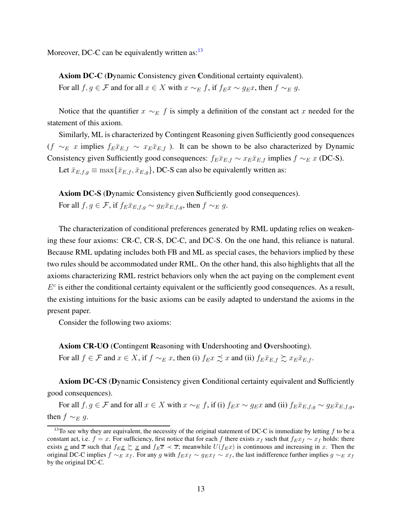Moreover, DC-C can be equivalently written as: $13$ 

Axiom DC-C (Dynamic Consistency given Conditional certainty equivalent). For all  $f, g \in \mathcal{F}$  and for all  $x \in X$  with  $x \sim_E f$ , if  $f_{E}x \sim g_{E}x$ , then  $f \sim_E g$ .

Notice that the quantifier  $x \sim_E f$  is simply a definition of the constant act x needed for the statement of this axiom.

Similarly, ML is characterized by Contingent Reasoning given Sufficiently good consequences  $(f \sim_E x$  implies  $f_E \bar{x}_{E,f} \sim x_E \bar{x}_{E,f}$ ). It can be shown to be also characterized by Dynamic Consistency given Sufficiently good consequences:  $f_{E}\bar{x}_{E,f} \sim x_{E}\bar{x}_{E,f}$  implies  $f \sim_{E} x$  (DC-S).

Let  $\bar{x}_{E,f,g} \equiv \max\{\bar{x}_{E,f}, \bar{x}_{E,g}\}\$ , DC-S can also be equivalently written as:

Axiom DC-S (Dynamic Consistency given Sufficiently good consequences). For all  $f, g \in \mathcal{F}$ , if  $f_E \bar{x}_{E,f,q} \sim g_E \bar{x}_{E,f,q}$ , then  $f \sim_E g$ .

The characterization of conditional preferences generated by RML updating relies on weakening these four axioms: CR-C, CR-S, DC-C, and DC-S. On the one hand, this reliance is natural. Because RML updating includes both FB and ML as special cases, the behaviors implied by these two rules should be accommodated under RML. On the other hand, this also highlights that all the axioms characterizing RML restrict behaviors only when the act paying on the complement event  $E<sup>c</sup>$  is either the conditional certainty equivalent or the sufficiently good consequences. As a result, the existing intuitions for the basic axioms can be easily adapted to understand the axioms in the present paper.

Consider the following two axioms:

Axiom CR-UO (Contingent Reasoning with Undershooting and Overshooting).

For all  $f \in \mathcal{F}$  and  $x \in X$ , if  $f \sim_E x$ , then (i)  $f_{E}x \preceq x$  and (ii)  $f_{E}x \rightharpoonup_{E} x_{E} \rightharpoonup_{E} x_{E}$ .

Axiom DC-CS (Dynamic Consistency given Conditional certainty equivalent and Sufficiently good consequences).

For all  $f, g \in \mathcal{F}$  and for all  $x \in X$  with  $x \sim_E f$ , if (i)  $f_E x \sim g_E x$  and (ii)  $f_E \bar{x}_{E,f,g} \sim g_E \bar{x}_{E,f,g}$ , then  $f \sim_E q$ .

<sup>&</sup>lt;sup>13</sup>To see why they are equivalent, the necessity of the original statement of DC-C is immediate by letting  $f$  to be a constant act, i.e. f = x. For sufficiency, first notice that for each f there exists  $x_f$  such that  $f_{EXf} \sim x_f$  holds: there exists x and  $\overline{x}$  such that  $f_{E}\overline{x} \geq x$  and  $f_{E}\overline{x} \leq \overline{x}$ ; meanwhile  $U(f_{E}\overline{x})$  is continuous and increasing in x. Then the original DC-C implies  $f \sim_E x_f$ . For any g with  $f_{E}x_f \sim g_{E}x_f \sim x_f$ , the last indifference further implies  $g \sim_E x_f$ by the original DC-C.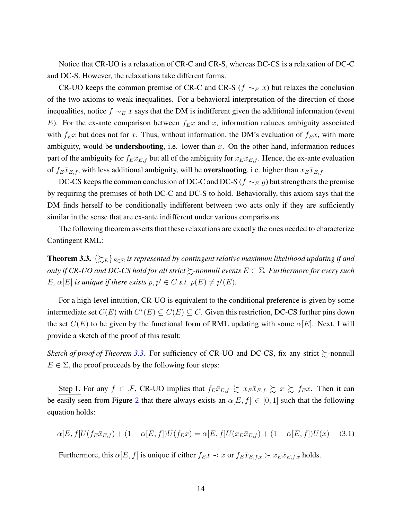Notice that CR-UO is a relaxation of CR-C and CR-S, whereas DC-CS is a relaxation of DC-C and DC-S. However, the relaxations take different forms.

CR-UO keeps the common premise of CR-C and CR-S ( $f \sim_E x$ ) but relaxes the conclusion of the two axioms to weak inequalities. For a behavioral interpretation of the direction of those inequalities, notice  $f \sim_E x$  says that the DM is indifferent given the additional information (event E). For the ex-ante comparison between  $f_{E}x$  and x, information reduces ambiguity associated with  $f_{E}x$  but does not for x. Thus, without information, the DM's evaluation of  $f_{E}x$ , with more ambiguity, would be **undershooting**, i.e. lower than  $x$ . On the other hand, information reduces part of the ambiguity for  $f_E\bar{x}_{E,f}$  but all of the ambiguity for  $x_E\bar{x}_{E,f}$ . Hence, the ex-ante evaluation of  $f_{E}\bar{x}_{E,f}$ , with less additional ambiguity, will be **overshooting**, i.e. higher than  $x_{E}\bar{x}_{E,f}$ .

DC-CS keeps the common conclusion of DC-C and DC-S ( $f \sim_E g$ ) but strengthens the premise by requiring the premises of both DC-C and DC-S to hold. Behaviorally, this axiom says that the DM finds herself to be conditionally indifferent between two acts only if they are sufficiently similar in the sense that are ex-ante indifferent under various comparisons.

The following theorem asserts that these relaxations are exactly the ones needed to characterize Contingent RML:

<span id="page-13-0"></span>**Theorem 3.3.**  $\{\sum_{E\in\Sigma}$  *is represented by contingent relative maximum likelihood updating if and only if CR-UO and DC-CS hold for all strict* %*-nonnull events* E ∈ Σ*. Furthermore for every such* E,  $\alpha[E]$  *is unique if there exists*  $p, p' \in C$  *s.t.*  $p(E) \neq p'(E)$ *.* 

For a high-level intuition, CR-UO is equivalent to the conditional preference is given by some intermediate set  $C(E)$  with  $C^*(E) \subseteq C(E) \subseteq C$ . Given this restriction, DC-CS further pins down the set  $C(E)$  to be given by the functional form of RML updating with some  $\alpha[E]$ . Next, I will provide a sketch of the proof of this result:

*Sketch of proof of Theorem [3.3.](#page-13-0)* For sufficiency of CR-UO and DC-CS, fix any strict  $\gtrsim$ -nonnull  $E \in \Sigma$ , the proof proceeds by the following four steps:

Step 1. For any  $f \in \mathcal{F}$ , CR-UO implies that  $f_E \bar{x}_{E,f} \gtrsim x_E \bar{x}_{E,f} \gtrsim x \gtrsim f_E x$ . Then it can be easily seen from Figure [2](#page-14-0) that there always exists an  $\alpha[E, f] \in [0, 1]$  such that the following equation holds:

<span id="page-13-1"></span>
$$
\alpha[E,f]U(f_E\bar{x}_{E,f}) + (1 - \alpha[E,f])U(f_E x) = \alpha[E,f]U(x_E\bar{x}_{E,f}) + (1 - \alpha[E,f])U(x) \quad (3.1)
$$

Furthermore, this  $\alpha[E, f]$  is unique if either  $f_{E}x \prec x$  or  $f_{E}\bar{x}_{E,f,x} \succ x_{E}\bar{x}_{E,f,x}$  holds.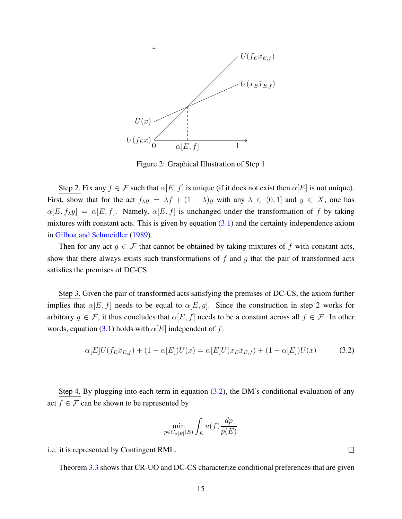<span id="page-14-0"></span>

Figure 2: Graphical Illustration of Step 1

Step 2. Fix any  $f \in \mathcal{F}$  such that  $\alpha[E, f]$  is unique (if it does not exist then  $\alpha[E]$  is not unique). First, show that for the act  $f_{\lambda}y = \lambda f + (1 - \lambda)y$  with any  $\lambda \in (0, 1]$  and  $y \in X$ , one has  $\alpha[E, f_{\lambda}y] = \alpha[E, f]$ . Namely,  $\alpha[E, f]$  is unchanged under the transformation of f by taking mixtures with constant acts. This is given by equation  $(3.1)$  and the certainty independence axiom in [Gilboa and Schmeidler](#page-47-1) [\(1989](#page-47-1)).

Then for any act  $g \in \mathcal{F}$  that cannot be obtained by taking mixtures of f with constant acts, show that there always exists such transformations of  $f$  and  $g$  that the pair of transformed acts satisfies the premises of DC-CS.

Step 3. Given the pair of transformed acts satisfying the premises of DC-CS, the axiom further implies that  $\alpha[E, f]$  needs to be equal to  $\alpha[E, g]$ . Since the construction in step 2 works for arbitrary  $q \in \mathcal{F}$ , it thus concludes that  $\alpha[E, f]$  needs to be a constant across all  $f \in \mathcal{F}$ . In other words, equation [\(3.1\)](#page-13-1) holds with  $\alpha[E]$  independent of f:

<span id="page-14-1"></span>
$$
\alpha[E]U(f_E\bar{x}_{E,f}) + (1 - \alpha[E])U(x) = \alpha[E]U(x_E\bar{x}_{E,f}) + (1 - \alpha[E])U(x)
$$
(3.2)

Step 4. By plugging into each term in equation  $(3.2)$ , the DM's conditional evaluation of any act  $f \in \mathcal{F}$  can be shown to be represented by

$$
\min_{p \in C_{\alpha[E]}(E)} \int_{E} u(f) \frac{dp}{p(E)}
$$

i.e. it is represented by Contingent RML.

Theorem [3.3](#page-13-0) shows that CR-UO and DC-CS characterize conditional preferences that are given

 $\Box$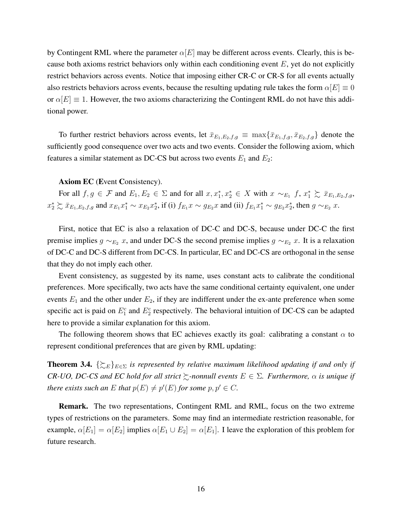by Contingent RML where the parameter  $\alpha[E]$  may be different across events. Clearly, this is because both axioms restrict behaviors only within each conditioning event  $E$ , yet do not explicitly restrict behaviors across events. Notice that imposing either CR-C or CR-S for all events actually also restricts behaviors across events, because the resulting updating rule takes the form  $\alpha[E] \equiv 0$ or  $\alpha[E] \equiv 1$ . However, the two axioms characterizing the Contingent RML do not have this additional power.

To further restrict behaviors across events, let  $\bar{x}_{E_1,E_2,f,g} \equiv \max\{\bar{x}_{E_1,f,g}, \bar{x}_{E_2,f,g}\}$  denote the sufficiently good consequence over two acts and two events. Consider the following axiom, which features a similar statement as DC-CS but across two events  $E_1$  and  $E_2$ :

#### Axiom EC (Event Consistency).

For all  $f, g \in \mathcal{F}$  and  $E_1, E_2 \in \Sigma$  and for all  $x, x_1^*, x_2^* \in X$  with  $x \sim_{E_1} f$ ,  $x_1^* \succsim \bar{x}_{E_1, E_2, f, g}$ ,  $x_2^* \succsim \bar{x}_{E_1,E_2,f,g}$  and  $x_{E_1}x_1^* \sim x_{E_2}x_2^*$ , if (i)  $f_{E_1}x \sim g_{E_2}x$  and (ii)  $f_{E_1}x_1^* \sim g_{E_2}x_2^*$ , then  $g \sim_{E_2} x$ .

First, notice that EC is also a relaxation of DC-C and DC-S, because under DC-C the first premise implies  $g \sim_{E_2} x$ , and under DC-S the second premise implies  $g \sim_{E_2} x$ . It is a relaxation of DC-C and DC-S different from DC-CS. In particular, EC and DC-CS are orthogonal in the sense that they do not imply each other.

Event consistency, as suggested by its name, uses constant acts to calibrate the conditional preferences. More specifically, two acts have the same conditional certainty equivalent, one under events  $E_1$  and the other under  $E_2$ , if they are indifferent under the ex-ante preference when some specific act is paid on  $E_1^c$  and  $E_2^c$  respectively. The behavioral intuition of DC-CS can be adapted here to provide a similar explanation for this axiom.

The following theorem shows that EC achieves exactly its goal: calibrating a constant  $\alpha$  to represent conditional preferences that are given by RML updating:

<span id="page-15-0"></span>**Theorem 3.4.**  $\{\gtrsim_{E}\}_{E\in\Sigma}$  *is represented by relative maximum likelihood updating if and only if CR-UO, DC-CS and EC hold for all strict*  $\succsim$ -nonnull events  $E \in \Sigma$ . Furthermore,  $\alpha$  is unique if *there exists such an*  $E$  *that*  $p(E) \neq p'(E)$  *for some*  $p, p' \in C$ *.* 

**Remark.** The two representations, Contingent RML and RML, focus on the two extreme types of restrictions on the parameters. Some may find an intermediate restriction reasonable, for example,  $\alpha[E_1] = \alpha[E_2]$  implies  $\alpha[E_1 \cup E_2] = \alpha[E_1]$ . I leave the exploration of this problem for future research.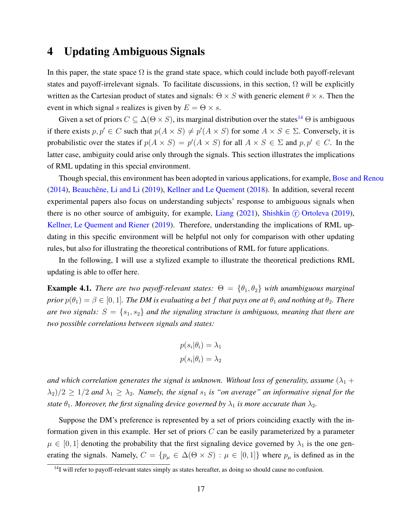# <span id="page-16-0"></span>4 Updating Ambiguous Signals

In this paper, the state space  $\Omega$  is the grand state space, which could include both payoff-relevant states and payoff-irrelevant signals. To facilitate discussions, in this section,  $\Omega$  will be explicitly written as the Cartesian product of states and signals:  $\Theta \times S$  with generic element  $\theta \times s$ . Then the event in which signal s realizes is given by  $E = \Theta \times s$ .

Given a set of priors  $C \subseteq \Delta(\Theta \times S)$ , its marginal distribution over the states<sup>14</sup>  $\Theta$  is ambiguous if there exists  $p, p' \in C$  such that  $p(A \times S) \neq p'(A \times S)$  for some  $A \times S \in \Sigma$ . Conversely, it is probabilistic over the states if  $p(A \times S) = p'(A \times S)$  for all  $A \times S \in \Sigma$  and  $p, p' \in C$ . In the latter case, ambiguity could arise only through the signals. This section illustrates the implications of RML updating in this special environment.

Though special, this environment has been adopted in various applications, for example, [Bose and Renou](#page-47-5) [\(2014\)](#page-47-5), Beauchêne, Li and Li [\(2019](#page-47-4)), [Kellner and Le Quement](#page-48-2) [\(2018\)](#page-48-2). In addition, several recent experimental papers also focus on understanding subjects' response to ambiguous signals when there is no other source of ambiguity, for example, [Liang](#page-48-1)  $(2021)$  $(2021)$ , [Shishkin](#page-49-2)  $(F)$  Ortoleva  $(2019)$  $(2019)$ , [Kellner, Le Quement and Riener](#page-48-5) [\(2019](#page-48-5)). Therefore, understanding the implications of RML updating in this specific environment will be helpful not only for comparison with other updating rules, but also for illustrating the theoretical contributions of RML for future applications.

In the following, I will use a stylized example to illustrate the theoretical predictions RML updating is able to offer here.

<span id="page-16-1"></span>**Example 4.1.** *There are two payoff-relevant states:*  $\Theta = {\theta_1, \theta_2}$  *with unambiguous marginal prior*  $p(\theta_1) = \beta \in [0, 1]$ *. The DM is evaluating a bet f that pays one at*  $\theta_1$  *and nothing at*  $\theta_2$ *. There are two signals:*  $S = \{s_1, s_2\}$  *and the signaling structure is ambiguous, meaning that there are two possible correlations between signals and states:*

$$
p(s_i|\theta_i) = \lambda_1
$$
  

$$
p(s_i|\theta_i) = \lambda_2
$$

*and which correlation generates the signal is unknown. Without loss of generality, assume*  $(\lambda_1 +$  $\lambda_2/2 \geq 1/2$  *and*  $\lambda_1 \geq \lambda_2$ *. Namely, the signal*  $s_1$  *is "on average" an informative signal for the state*  $\theta_1$ *. Moreover, the first signaling device governed by*  $\lambda_1$  *is more accurate than*  $\lambda_2$ *.* 

Suppose the DM's preference is represented by a set of priors coinciding exactly with the information given in this example. Her set of priors  $C$  can be easily parameterized by a parameter  $\mu \in [0,1]$  denoting the probability that the first signaling device governed by  $\lambda_1$  is the one generating the signals. Namely,  $C = \{p_\mu \in \Delta(\Theta \times S) : \mu \in [0, 1]\}$  where  $p_\mu$  is defined as in the

<sup>&</sup>lt;sup>14</sup>I will refer to payoff-relevant states simply as states hereafter, as doing so should cause no confusion.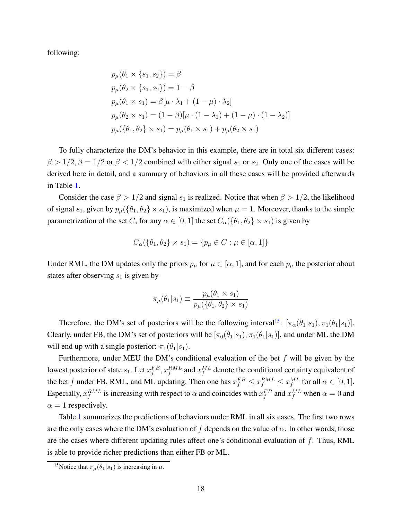following:

$$
p_{\mu}(\theta_1 \times \{s_1, s_2\}) = \beta
$$
  
\n
$$
p_{\mu}(\theta_2 \times \{s_1, s_2\}) = 1 - \beta
$$
  
\n
$$
p_{\mu}(\theta_1 \times s_1) = \beta[\mu \cdot \lambda_1 + (1 - \mu) \cdot \lambda_2]
$$
  
\n
$$
p_{\mu}(\theta_2 \times s_1) = (1 - \beta)[\mu \cdot (1 - \lambda_1) + (1 - \mu) \cdot (1 - \lambda_2)]
$$
  
\n
$$
p_{\mu}(\{\theta_1, \theta_2\} \times s_1) = p_{\mu}(\theta_1 \times s_1) + p_{\mu}(\theta_2 \times s_1)
$$

To fully characterize the DM's behavior in this example, there are in total six different cases:  $\beta > 1/2$ ,  $\beta = 1/2$  or  $\beta < 1/2$  combined with either signal  $s_1$  or  $s_2$ . Only one of the cases will be derived here in detail, and a summary of behaviors in all these cases will be provided afterwards in Table [1.](#page-18-0)

Consider the case  $\beta > 1/2$  and signal  $s_1$  is realized. Notice that when  $\beta > 1/2$ , the likelihood of signal  $s_1$ , given by  $p_\mu$ ({ $\theta_1$ ,  $\theta_2$ } ×  $s_1$ ), is maximized when  $\mu = 1$ . Moreover, thanks to the simple parametrization of the set C, for any  $\alpha \in [0, 1]$  the set  $C_{\alpha}(\{\theta_1, \theta_2\} \times s_1)$  is given by

$$
C_{\alpha}(\{\theta_1, \theta_2\} \times s_1) = \{p_{\mu} \in C : \mu \in [\alpha, 1]\}
$$

Under RML, the DM updates only the priors  $p_{\mu}$  for  $\mu \in [\alpha, 1]$ , and for each  $p_{\mu}$  the posterior about states after observing  $s_1$  is given by

$$
\pi_{\mu}(\theta_1|s_1) \equiv \frac{p_{\mu}(\theta_1 \times s_1)}{p_{\mu}(\{\theta_1, \theta_2\} \times s_1)}
$$

Therefore, the DM's set of posteriors will be the following interval<sup>15</sup>:  $[\pi_{\alpha}(\theta_1|s_1), \pi_1(\theta_1|s_1)]$ . Clearly, under FB, the DM's set of posteriors will be  $[\pi_0(\theta_1|s_1), \pi_1(\theta_1|s_1)]$ , and under ML the DM will end up with a single posterior:  $\pi_1(\theta_1|s_1)$ .

Furthermore, under MEU the DM's conditional evaluation of the bet  $f$  will be given by the lowest posterior of state  $s_1$ . Let  $x_f^{FB}$ ,  $x_f^{RML}$  and  $x_f^{ML}$  denote the conditional certainty equivalent of the bet f under FB, RML, and ML updating. Then one has  $x_f^{FB} \le x_f^{RML} \le x_f^{ML}$  for all  $\alpha \in [0,1]$ . Especially,  $x_f^{RML}$  is increasing with respect to  $\alpha$  and coincides with  $x_f^{FB}$  and  $x_f^{ML}$  when  $\alpha = 0$  and  $\alpha = 1$  respectively.

Table [1](#page-18-0) summarizes the predictions of behaviors under RML in all six cases. The first two rows are the only cases where the DM's evaluation of f depends on the value of  $\alpha$ . In other words, those are the cases where different updating rules affect one's conditional evaluation of  $f$ . Thus, RML is able to provide richer predictions than either FB or ML.

<sup>&</sup>lt;sup>15</sup>Notice that  $\pi_{\mu}(\theta_1|s_1)$  is increasing in  $\mu$ .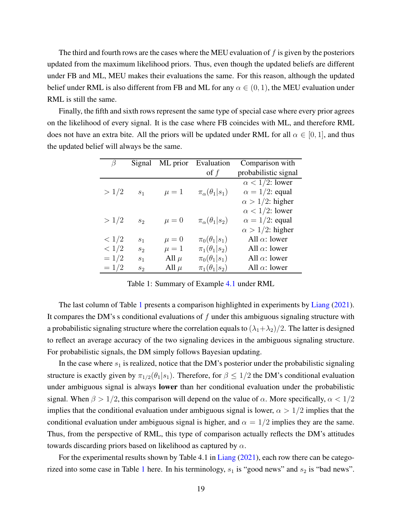The third and fourth rows are the cases where the MEU evaluation of  $f$  is given by the posteriors updated from the maximum likelihood priors. Thus, even though the updated beliefs are different under FB and ML, MEU makes their evaluations the same. For this reason, although the updated belief under RML is also different from FB and ML for any  $\alpha \in (0,1)$ , the MEU evaluation under RML is still the same.

<span id="page-18-0"></span>Finally, the fifth and sixth rows represent the same type of special case where every prior agrees on the likelihood of every signal. It is the case where FB coincides with ML, and therefore RML does not have an extra bite. All the priors will be updated under RML for all  $\alpha \in [0, 1]$ , and thus the updated belief will always be the same.

| $\beta$ | Signal         | ML prior  | Evaluation                 | Comparison with         |
|---------|----------------|-----------|----------------------------|-------------------------|
|         |                |           | of $f$                     | probabilistic signal    |
|         |                |           |                            | $\alpha$ < 1/2: lower   |
| >1/2    | S <sub>1</sub> | $\mu=1$   | $\pi_\alpha(\theta_1 s_1)$ | $\alpha = 1/2$ : equal  |
|         |                |           |                            | $\alpha > 1/2$ : higher |
|         |                |           |                            | $\alpha$ < 1/2: lower   |
| >1/2    | S <sub>2</sub> | $\mu = 0$ | $\pi_\alpha(\theta_1 s_2)$ | $\alpha = 1/2$ : equal  |
|         |                |           |                            | $\alpha > 1/2$ : higher |
| < 1/2   | S <sub>1</sub> | $\mu = 0$ | $\pi_0(\theta_1 s_1)$      | All $\alpha$ : lower    |
| < 1/2   | $S_2$          | $\mu=1$   | $\pi_1(\theta_1 s_2)$      | All $\alpha$ : lower    |
| $=1/2$  | S <sub>1</sub> | All $\mu$ | $\pi_0(\theta_1 s_1)$      | All $\alpha$ : lower    |
| $=1/2$  | $S_2$          | All $\mu$ | $\pi_1(\theta_1 s_2)$      | All $\alpha$ : lower    |

Table 1: Summary of Example [4.1](#page-16-1) under RML

The last column of Table [1](#page-18-0) presents a comparison highlighted in experiments by [Liang](#page-48-1) [\(2021](#page-48-1)). It compares the DM's s conditional evaluations of  $f$  under this ambiguous signaling structure with a probabilistic signaling structure where the correlation equals to  $(\lambda_1 + \lambda_2)/2$ . The latter is designed to reflect an average accuracy of the two signaling devices in the ambiguous signaling structure. For probabilistic signals, the DM simply follows Bayesian updating.

In the case where  $s_1$  is realized, notice that the DM's posterior under the probabilistic signaling structure is exactly given by  $\pi_{1/2}(\theta_1|s_1)$ . Therefore, for  $\beta \leq 1/2$  the DM's conditional evaluation under ambiguous signal is always lower than her conditional evaluation under the probabilistic signal. When  $\beta > 1/2$ , this comparison will depend on the value of  $\alpha$ . More specifically,  $\alpha < 1/2$ implies that the conditional evaluation under ambiguous signal is lower,  $\alpha > 1/2$  implies that the conditional evaluation under ambiguous signal is higher, and  $\alpha = 1/2$  implies they are the same. Thus, from the perspective of RML, this type of comparison actually reflects the DM's attitudes towards discarding priors based on likelihood as captured by  $\alpha$ .

For the experimental results shown by Table 4.1 in [Liang](#page-48-1) [\(2021](#page-48-1)), each row there can be catego-rized into some case in Table [1](#page-18-0) here. In his terminology,  $s_1$  is "good news" and  $s_2$  is "bad news".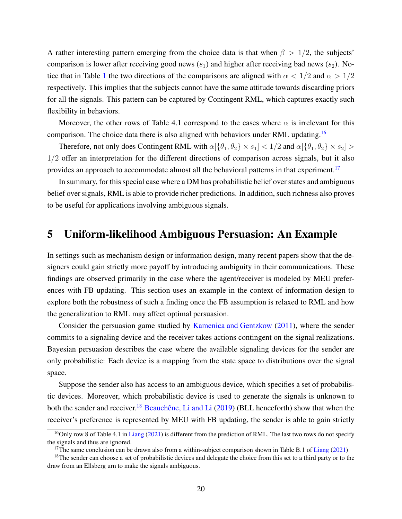A rather interesting pattern emerging from the choice data is that when  $\beta > 1/2$ , the subjects' comparison is lower after receiving good news  $(s_1)$  and higher after receiving bad news  $(s_2)$ . No-tice that in Table [1](#page-18-0) the two directions of the comparisons are aligned with  $\alpha < 1/2$  and  $\alpha > 1/2$ respectively. This implies that the subjects cannot have the same attitude towards discarding priors for all the signals. This pattern can be captured by Contingent RML, which captures exactly such flexibility in behaviors.

Moreover, the other rows of Table 4.1 correspond to the cases where  $\alpha$  is irrelevant for this comparison. The choice data there is also aligned with behaviors under RML updating.<sup>16</sup>

Therefore, not only does Contingent RML with  $\alpha[\{\theta_1,\theta_2\}\times s_1] < 1/2$  and  $\alpha[\{\theta_1,\theta_2\}\times s_2] >$ 1/2 offer an interpretation for the different directions of comparison across signals, but it also provides an approach to accommodate almost all the behavioral patterns in that experiment.<sup>17</sup>

In summary, for this special case where a DM has probabilistic belief over states and ambiguous belief over signals, RML is able to provide richer predictions. In addition, such richness also proves to be useful for applications involving ambiguous signals.

## <span id="page-19-0"></span>5 Uniform-likelihood Ambiguous Persuasion: An Example

In settings such as mechanism design or information design, many recent papers show that the designers could gain strictly more payoff by introducing ambiguity in their communications. These findings are observed primarily in the case where the agent/receiver is modeled by MEU preferences with FB updating. This section uses an example in the context of information design to explore both the robustness of such a finding once the FB assumption is relaxed to RML and how the generalization to RML may affect optimal persuasion.

Consider the persuasion game studied by [Kamenica and Gentzkow](#page-48-6) [\(2011](#page-48-6)), where the sender commits to a signaling device and the receiver takes actions contingent on the signal realizations. Bayesian persuasion describes the case where the available signaling devices for the sender are only probabilistic: Each device is a mapping from the state space to distributions over the signal space.

Suppose the sender also has access to an ambiguous device, which specifies a set of probabilistic devices. Moreover, which probabilistic device is used to generate the signals is unknown to both the sender and receiver.<sup>18</sup> Beauchêne, Li and Li  $(2019)$  (BLL henceforth) show that when the receiver's preference is represented by MEU with FB updating, the sender is able to gain strictly

<sup>&</sup>lt;sup>16</sup>Only row 8 of Table 4.1 in [Liang](#page-48-1) [\(2021](#page-48-1)) is different from the prediction of RML. The last two rows do not specify the signals and thus are ignored.

<sup>&</sup>lt;sup>17</sup>The same conclusion can be drawn also from a within-subject comparison shown in Table B.1 of [Liang](#page-48-1) [\(2021](#page-48-1))

<sup>&</sup>lt;sup>18</sup>The sender can choose a set of probabilistic devices and delegate the choice from this set to a third party or to the draw from an Ellsberg urn to make the signals ambiguous.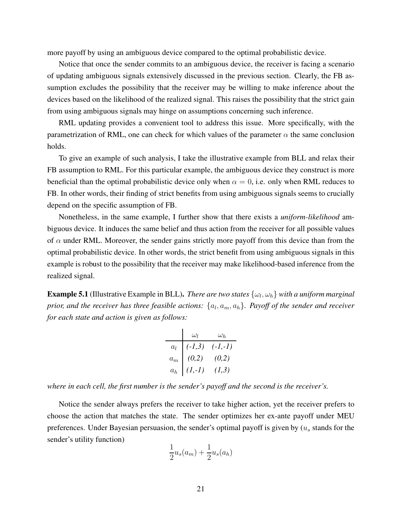more payoff by using an ambiguous device compared to the optimal probabilistic device.

Notice that once the sender commits to an ambiguous device, the receiver is facing a scenario of updating ambiguous signals extensively discussed in the previous section. Clearly, the FB assumption excludes the possibility that the receiver may be willing to make inference about the devices based on the likelihood of the realized signal. This raises the possibility that the strict gain from using ambiguous signals may hinge on assumptions concerning such inference.

RML updating provides a convenient tool to address this issue. More specifically, with the parametrization of RML, one can check for which values of the parameter  $\alpha$  the same conclusion holds.

To give an example of such analysis, I take the illustrative example from BLL and relax their FB assumption to RML. For this particular example, the ambiguous device they construct is more beneficial than the optimal probabilistic device only when  $\alpha = 0$ , i.e. only when RML reduces to FB. In other words, their finding of strict benefits from using ambiguous signals seems to crucially depend on the specific assumption of FB.

Nonetheless, in the same example, I further show that there exists a *uniform-likelihood* ambiguous device. It induces the same belief and thus action from the receiver for all possible values of  $\alpha$  under RML. Moreover, the sender gains strictly more payoff from this device than from the optimal probabilistic device. In other words, the strict benefit from using ambiguous signals in this example is robust to the possibility that the receiver may make likelihood-based inference from the realized signal.

**Example 5.1** (Illustrative Example in BLL). *There are two states*  $\{\omega_l, \omega_h\}$  *with a uniform marginal* prior, and the receiver has three feasible actions:  $\{a_l,a_m,a_h\}$ . Payoff of the sender and receiver *for each state and action is given as follows:*

$$
\begin{array}{c|cc}\n & \omega_l & \omega_h \\
a_l & (-l,3) & (-l,-l) \\
a_m & (0,2) & (0,2) \\
a_h & (l,-l) & (l,3)\n\end{array}
$$

*where in each cell, the first number is the sender's payoff and the second is the receiver's.*

Notice the sender always prefers the receiver to take higher action, yet the receiver prefers to choose the action that matches the state. The sender optimizes her ex-ante payoff under MEU preferences. Under Bayesian persuasion, the sender's optimal payoff is given by  $(u<sub>s</sub>$  stands for the sender's utility function)

$$
\frac{1}{2}u_s(a_m) + \frac{1}{2}u_s(a_h)
$$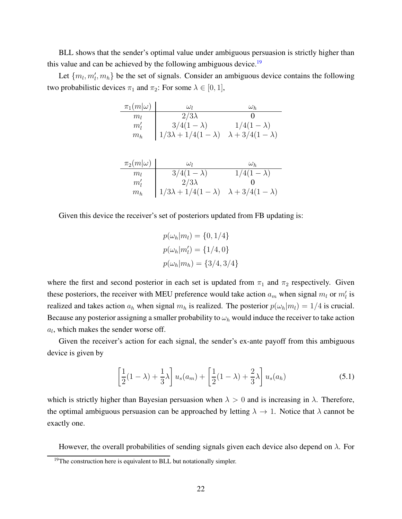BLL shows that the sender's optimal value under ambiguous persuasion is strictly higher than this value and can be achieved by the following ambiguous device.<sup>19</sup>

Let  $\{m_l, m'_l, m_h\}$  be the set of signals. Consider an ambiguous device contains the following two probabilistic devices  $\pi_1$  and  $\pi_2$ : For some  $\lambda \in [0, 1]$ ,

| $\pi_1(m \omega)$                   | $\omega_{I}$                  | $\omega_h$                 |
|-------------------------------------|-------------------------------|----------------------------|
| $m_{l}$                             | $2/3\lambda$                  |                            |
| $m_{\scriptscriptstyle I}^{\prime}$ | $3/4(1-\lambda)$              | $1/4(1-\lambda)$           |
| $m_h$                               | $1/3\lambda + 1/4(1-\lambda)$ | $\lambda + 3/4(1-\lambda)$ |

| $\pi_2(m \omega)$             | $\omega_{\rm I}$                                         | $\omega_h$       |
|-------------------------------|----------------------------------------------------------|------------------|
| $m_{\rm\scriptscriptstyle I}$ | $3/4(1-\lambda)$                                         | $1/4(1-\lambda)$ |
| $m_{I}^{\prime}$              | $2/3\lambda$                                             |                  |
| $m_h$                         | $1/3\lambda + 1/4(1-\lambda)$ $\lambda + 3/4(1-\lambda)$ |                  |

Given this device the receiver's set of posteriors updated from FB updating is:

$$
p(\omega_h|m_l) = \{0, 1/4\}
$$
  

$$
p(\omega_h|m'_l) = \{1/4, 0\}
$$
  

$$
p(\omega_h|m_h) = \{3/4, 3/4\}
$$

where the first and second posterior in each set is updated from  $\pi_1$  and  $\pi_2$  respectively. Given these posteriors, the receiver with MEU preference would take action  $a_m$  when signal  $m_l$  or  $m'_l$  is realized and takes action  $a_h$  when signal  $m_h$  is realized. The posterior  $p(\omega_h|m_l) = 1/4$  is crucial. Because any posterior assigning a smaller probability to  $\omega_h$  would induce the receiver to take action  $a_l$ , which makes the sender worse off.

Given the receiver's action for each signal, the sender's ex-ante payoff from this ambiguous device is given by

<span id="page-21-0"></span>
$$
\left[\frac{1}{2}(1-\lambda)+\frac{1}{3}\lambda\right]u_s(a_m)+\left[\frac{1}{2}(1-\lambda)+\frac{2}{3}\lambda\right]u_s(a_h)
$$
\n(5.1)

which is strictly higher than Bayesian persuasion when  $\lambda > 0$  and is increasing in  $\lambda$ . Therefore, the optimal ambiguous persuasion can be approached by letting  $\lambda \to 1$ . Notice that  $\lambda$  cannot be exactly one.

However, the overall probabilities of sending signals given each device also depend on  $\lambda$ . For

<sup>&</sup>lt;sup>19</sup>The construction here is equivalent to BLL but notationally simpler.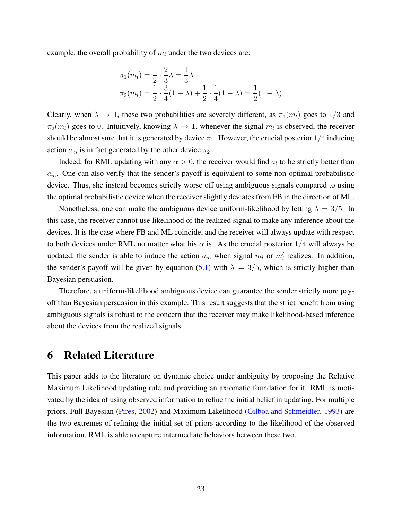example, the overall probability of  $m_l$  under the two devices are:

$$
\pi_1(m_l) = \frac{1}{2} \cdot \frac{2}{3}\lambda = \frac{1}{3}\lambda
$$
  

$$
\pi_2(m_l) = \frac{1}{2} \cdot \frac{3}{4}(1-\lambda) + \frac{1}{2} \cdot \frac{1}{4}(1-\lambda) = \frac{1}{2}(1-\lambda)
$$

Clearly, when  $\lambda \to 1$ , these two probabilities are severely different, as  $\pi_1(m_l)$  goes to  $1/3$  and  $\pi_2(m_l)$  goes to 0. Intuitively, knowing  $\lambda \to 1$ , whenever the signal  $m_l$  is observed, the receiver should be almost sure that it is generated by device  $\pi_1$ . However, the crucial posterior  $1/4$  inducing action  $a_m$  is in fact generated by the other device  $\pi_2$ .

Indeed, for RML updating with any  $\alpha > 0$ , the receiver would find  $a_l$  to be strictly better than  $a_m$ . One can also verify that the sender's payoff is equivalent to some non-optimal probabilistic device. Thus, she instead becomes strictly worse off using ambiguous signals compared to using the optimal probabilistic device when the receiver slightly deviates from FB in the direction of ML.

Nonetheless, one can make the ambiguous device uniform-likelihood by letting  $\lambda = 3/5$ . In this case, the receiver cannot use likelihood of the realized signal to make any inference about the devices. It is the case where FB and ML coincide, and the receiver will always update with respect to both devices under RML no matter what his  $\alpha$  is. As the crucial posterior 1/4 will always be updated, the sender is able to induce the action  $a_m$  when signal  $m_l$  or  $m'_l$  realizes. In addition, the sender's payoff will be given by equation [\(5.1\)](#page-21-0) with  $\lambda = 3/5$ , which is strictly higher than Bayesian persuasion.

Therefore, a uniform-likelihood ambiguous device can guarantee the sender strictly more payoff than Bayesian persuasion in this example. This result suggests that the strict benefit from using ambiguous signals is robust to the concern that the receiver may make likelihood-based inference about the devices from the realized signals.

## <span id="page-22-0"></span>6 Related Literature

This paper adds to the literature on dynamic choice under ambiguity by proposing the Relative Maximum Likelihood updating rule and providing an axiomatic foundation for it. RML is motivated by the idea of using observed information to refine the initial belief in updating. For multiple priors, Full Bayesian [\(Pires,](#page-49-0) [2002](#page-49-0)) and Maximum Likelihood [\(Gilboa and Schmeidler](#page-47-2), [1993\)](#page-47-2) are the two extremes of refining the initial set of priors according to the likelihood of the observed information. RML is able to capture intermediate behaviors between these two.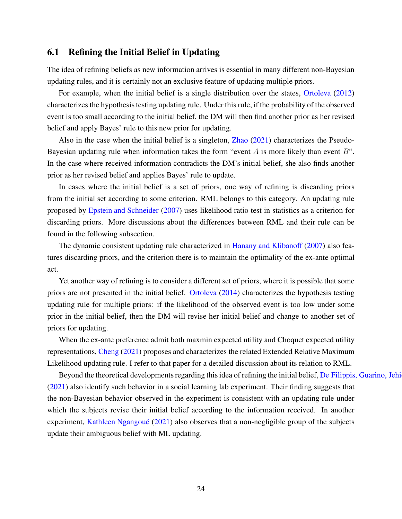## 6.1 Refining the Initial Belief in Updating

The idea of refining beliefs as new information arrives is essential in many different non-Bayesian updating rules, and it is certainly not an exclusive feature of updating multiple priors.

For example, when the initial belief is a single distribution over the states, [Ortoleva](#page-49-3) [\(2012](#page-49-3)) characterizes the hypothesis testing updating rule. Under this rule, if the probability of the observed event is too small according to the initial belief, the DM will then find another prior as her revised belief and apply Bayes' rule to this new prior for updating.

Also in the case when the initial belief is a singleton, [Zhao](#page-49-4) [\(2021](#page-49-4)) characterizes the Pseudo-Bayesian updating rule when information takes the form "event A is more likely than event  $B$ ". In the case where received information contradicts the DM's initial belief, she also finds another prior as her revised belief and applies Bayes' rule to update.

In cases where the initial belief is a set of priors, one way of refining is discarding priors from the initial set according to some criterion. RML belongs to this category. An updating rule proposed by [Epstein and Schneider](#page-47-6) [\(2007](#page-47-6)) uses likelihood ratio test in statistics as a criterion for discarding priors. More discussions about the differences between RML and their rule can be found in the following subsection.

The dynamic consistent updating rule characterized in [Hanany and Klibanoff](#page-48-4) [\(2007\)](#page-48-4) also features discarding priors, and the criterion there is to maintain the optimality of the ex-ante optimal act.

Yet another way of refining is to consider a different set of priors, where it is possible that some priors are not presented in the initial belief. [Ortoleva](#page-49-5) [\(2014\)](#page-49-5) characterizes the hypothesis testing updating rule for multiple priors: if the likelihood of the observed event is too low under some prior in the initial belief, then the DM will revise her initial belief and change to another set of priors for updating.

When the ex-ante preference admit both maxmin expected utility and Choquet expected utility representations, [Cheng](#page-47-7) [\(2021\)](#page-47-7) proposes and characterizes the related Extended Relative Maximum Likelihood updating rule. I refer to that paper for a detailed discussion about its relation to RML.

Beyond the theoretical developments regarding this idea of refining the initial belief, De Filippis, Guarino, Jehi [\(2021\)](#page-47-8) also identify such behavior in a social learning lab experiment. Their finding suggests that the non-Bayesian behavior observed in the experiment is consistent with an updating rule under which the subjects revise their initial belief according to the information received. In another experiment, Kathleen Ngangoué [\(2021](#page-48-7)) also observes that a non-negligible group of the subjects update their ambiguous belief with ML updating.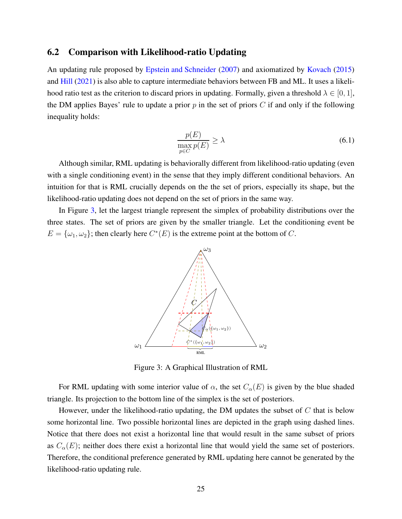#### 6.2 Comparison with Likelihood-ratio Updating

An updating rule proposed by [Epstein and Schneider](#page-47-6) [\(2007\)](#page-47-6) and axiomatized by [Kovach](#page-48-8) [\(2015](#page-48-8)) and [Hill](#page-48-9) [\(2021](#page-48-9)) is also able to capture intermediate behaviors between FB and ML. It uses a likelihood ratio test as the criterion to discard priors in updating. Formally, given a threshold  $\lambda \in [0, 1]$ , the DM applies Bayes' rule to update a prior  $p$  in the set of priors  $C$  if and only if the following inequality holds:

$$
\frac{p(E)}{\max_{p\in C} p(E)} \ge \lambda \tag{6.1}
$$

Although similar, RML updating is behaviorally different from likelihood-ratio updating (even with a single conditioning event) in the sense that they imply different conditional behaviors. An intuition for that is RML crucially depends on the the set of priors, especially its shape, but the likelihood-ratio updating does not depend on the set of priors in the same way.

<span id="page-24-0"></span>In Figure [3,](#page-24-0) let the largest triangle represent the simplex of probability distributions over the three states. The set of priors are given by the smaller triangle. Let the conditioning event be  $E = {\omega_1, \omega_2}$ ; then clearly here  $C^*(E)$  is the extreme point at the bottom of C.



Figure 3: A Graphical Illustration of RML

For RML updating with some interior value of  $\alpha$ , the set  $C_{\alpha}(E)$  is given by the blue shaded triangle. Its projection to the bottom line of the simplex is the set of posteriors.

However, under the likelihood-ratio updating, the DM updates the subset of  $C$  that is below some horizontal line. Two possible horizontal lines are depicted in the graph using dashed lines. Notice that there does not exist a horizontal line that would result in the same subset of priors as  $C_{\alpha}(E)$ ; neither does there exist a horizontal line that would yield the same set of posteriors. Therefore, the conditional preference generated by RML updating here cannot be generated by the likelihood-ratio updating rule.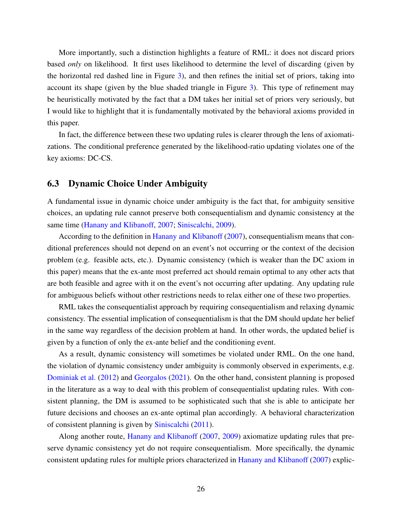More importantly, such a distinction highlights a feature of RML: it does not discard priors based *only* on likelihood. It first uses likelihood to determine the level of discarding (given by the horizontal red dashed line in Figure [3\)](#page-24-0), and then refines the initial set of priors, taking into account its shape (given by the blue shaded triangle in Figure [3\)](#page-24-0). This type of refinement may be heuristically motivated by the fact that a DM takes her initial set of priors very seriously, but I would like to highlight that it is fundamentally motivated by the behavioral axioms provided in this paper.

In fact, the difference between these two updating rules is clearer through the lens of axiomatizations. The conditional preference generated by the likelihood-ratio updating violates one of the key axioms: DC-CS.

#### 6.3 Dynamic Choice Under Ambiguity

A fundamental issue in dynamic choice under ambiguity is the fact that, for ambiguity sensitive choices, an updating rule cannot preserve both consequentialism and dynamic consistency at the same time [\(Hanany and Klibanoff](#page-48-4), [2007](#page-48-4); [Siniscalchi,](#page-49-6) [2009\)](#page-49-6).

According to the definition in [Hanany and Klibanoff](#page-48-4) [\(2007\)](#page-48-4), consequentialism means that conditional preferences should not depend on an event's not occurring or the context of the decision problem (e.g. feasible acts, etc.). Dynamic consistency (which is weaker than the DC axiom in this paper) means that the ex-ante most preferred act should remain optimal to any other acts that are both feasible and agree with it on the event's not occurring after updating. Any updating rule for ambiguous beliefs without other restrictions needs to relax either one of these two properties.

RML takes the consequentialist approach by requiring consequentialism and relaxing dynamic consistency. The essential implication of consequentialism is that the DM should update her belief in the same way regardless of the decision problem at hand. In other words, the updated belief is given by a function of only the ex-ante belief and the conditioning event.

As a result, dynamic consistency will sometimes be violated under RML. On the one hand, the violation of dynamic consistency under ambiguity is commonly observed in experiments, e.g. [Dominiak et al.](#page-47-9) [\(2012](#page-47-9)) and [Georgalos](#page-47-10) [\(2021\)](#page-47-10). On the other hand, consistent planning is proposed in the literature as a way to deal with this problem of consequentialist updating rules. With consistent planning, the DM is assumed to be sophisticated such that she is able to anticipate her future decisions and chooses an ex-ante optimal plan accordingly. A behavioral characterization of consistent planning is given by [Siniscalchi](#page-49-7) [\(2011\)](#page-49-7).

Along another route, [Hanany and Klibanoff](#page-48-4) [\(2007](#page-48-4), [2009\)](#page-48-10) axiomatize updating rules that preserve dynamic consistency yet do not require consequentialism. More specifically, the dynamic consistent updating rules for multiple priors characterized in [Hanany and Klibanoff](#page-48-4) [\(2007](#page-48-4)) explic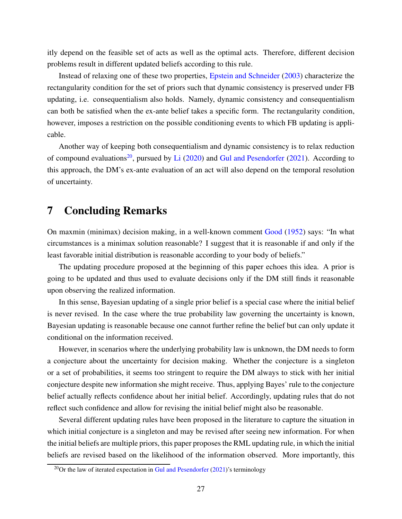itly depend on the feasible set of acts as well as the optimal acts. Therefore, different decision problems result in different updated beliefs according to this rule.

Instead of relaxing one of these two properties, [Epstein and Schneider](#page-47-11) [\(2003](#page-47-11)) characterize the rectangularity condition for the set of priors such that dynamic consistency is preserved under FB updating, i.e. consequentialism also holds. Namely, dynamic consistency and consequentialism can both be satisfied when the ex-ante belief takes a specific form. The rectangularity condition, however, imposes a restriction on the possible conditioning events to which FB updating is applicable.

Another way of keeping both consequentialism and dynamic consistency is to relax reduction of compound evaluations<sup>20</sup>, pursued by [Li](#page-48-11)  $(2020)$  and [Gul and Pesendorfer](#page-48-12)  $(2021)$ . According to this approach, the DM's ex-ante evaluation of an act will also depend on the temporal resolution of uncertainty.

# <span id="page-26-0"></span>7 Concluding Remarks

On maxmin (minimax) decision making, in a well-known comment [Good](#page-48-13) [\(1952\)](#page-48-13) says: "In what circumstances is a minimax solution reasonable? I suggest that it is reasonable if and only if the least favorable initial distribution is reasonable according to your body of beliefs."

The updating procedure proposed at the beginning of this paper echoes this idea. A prior is going to be updated and thus used to evaluate decisions only if the DM still finds it reasonable upon observing the realized information.

In this sense, Bayesian updating of a single prior belief is a special case where the initial belief is never revised. In the case where the true probability law governing the uncertainty is known, Bayesian updating is reasonable because one cannot further refine the belief but can only update it conditional on the information received.

However, in scenarios where the underlying probability law is unknown, the DM needs to form a conjecture about the uncertainty for decision making. Whether the conjecture is a singleton or a set of probabilities, it seems too stringent to require the DM always to stick with her initial conjecture despite new information she might receive. Thus, applying Bayes' rule to the conjecture belief actually reflects confidence about her initial belief. Accordingly, updating rules that do not reflect such confidence and allow for revising the initial belief might also be reasonable.

Several different updating rules have been proposed in the literature to capture the situation in which initial conjecture is a singleton and may be revised after seeing new information. For when the initial beliefs are multiple priors, this paper proposes the RML updating rule, in which the initial beliefs are revised based on the likelihood of the information observed. More importantly, this

 $20$ Or the law of iterated expectation in [Gul and Pesendorfer](#page-48-12) [\(2021\)](#page-48-12)'s terminology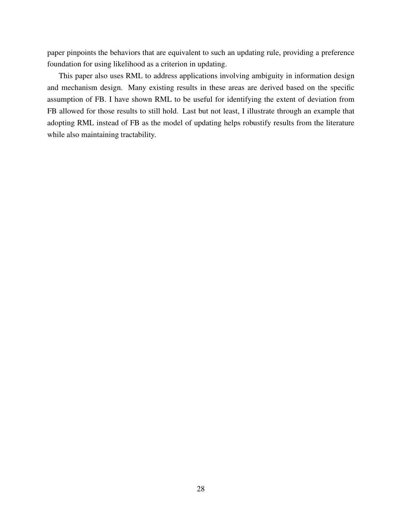paper pinpoints the behaviors that are equivalent to such an updating rule, providing a preference foundation for using likelihood as a criterion in updating.

This paper also uses RML to address applications involving ambiguity in information design and mechanism design. Many existing results in these areas are derived based on the specific assumption of FB. I have shown RML to be useful for identifying the extent of deviation from FB allowed for those results to still hold. Last but not least, I illustrate through an example that adopting RML instead of FB as the model of updating helps robustify results from the literature while also maintaining tractability.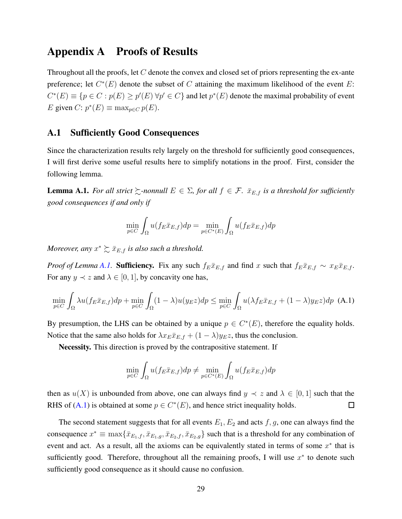## <span id="page-28-0"></span>Appendix A Proofs of Results

Throughout all the proofs, let  $C$  denote the convex and closed set of priors representing the ex-ante preference; let  $C^*(E)$  denote the subset of C attaining the maximum likelihood of the event E:  $C^*(E) \equiv \{p \in C : p(E) \geq p'(E) \,\forall p' \in C\}$  and let  $p^*(E)$  denote the maximal probability of event E given C:  $p^*(E) \equiv \max_{p \in C} p(E)$ .

#### A.1 Sufficiently Good Consequences

Since the characterization results rely largely on the threshold for sufficiently good consequences, I will first derive some useful results here to simplify notations in the proof. First, consider the following lemma.

<span id="page-28-1"></span>**Lemma A.1.** For all strict  $\succeq$ -nonnull  $E \in \Sigma$ , for all  $f \in \mathcal{F}$ .  $\bar{x}_{E,f}$  is a threshold for sufficiently *good consequences if and only if*

$$
\min_{p \in C} \int_{\Omega} u(f_E \bar{x}_{E,f}) dp = \min_{p \in C^*(E)} \int_{\Omega} u(f_E \bar{x}_{E,f}) dp
$$

*Moreover, any*  $x^* \succsim \bar{x}_{E,f}$  *is also such a threshold.* 

*Proof of Lemma [A.1.](#page-28-1)* Sufficiency. Fix any such  $f_E\bar{x}_{E,f}$  and find x such that  $f_E\bar{x}_{E,f} \sim x_E\bar{x}_{E,f}$ . For any  $y \prec z$  and  $\lambda \in [0, 1]$ , by concavity one has,

<span id="page-28-2"></span>
$$
\min_{p \in C} \int_{\Omega} \lambda u(f_E \bar{x}_{E,f}) dp + \min_{p \in C} \int_{\Omega} (1 - \lambda) u(y_E z) dp \le \min_{p \in C} \int_{\Omega} u(\lambda f_E \bar{x}_{E,f} + (1 - \lambda) y_E z) dp
$$
 (A.1)

By presumption, the LHS can be obtained by a unique  $p \in C^*(E)$ , therefore the equality holds. Notice that the same also holds for  $\lambda x_E \bar{x}_{E,f} + (1 - \lambda) y_E z$ , thus the conclusion.

Necessity. This direction is proved by the contrapositive statement. If

$$
\min_{p \in C} \int_{\Omega} u(f_E \bar{x}_{E,f}) dp \neq \min_{p \in C^*(E)} \int_{\Omega} u(f_E \bar{x}_{E,f}) dp
$$

then as  $u(X)$  is unbounded from above, one can always find  $y \prec z$  and  $\lambda \in [0,1]$  such that the RHS of [\(A.1\)](#page-28-2) is obtained at some  $p \in C^*(E)$ , and hence strict inequality holds.  $\Box$ 

The second statement suggests that for all events  $E_1, E_2$  and acts  $f, g$ , one can always find the consequence  $x^* \equiv \max\{\bar{x}_{E_1,f}, \bar{x}_{E_1,g}, \bar{x}_{E_2,f}, \bar{x}_{E_2,g}\}$  such that is a threshold for any combination of event and act. As a result, all the axioms can be equivalently stated in terms of some  $x^*$  that is sufficiently good. Therefore, throughout all the remaining proofs, I will use  $x^*$  to denote such sufficiently good consequence as it should cause no confusion.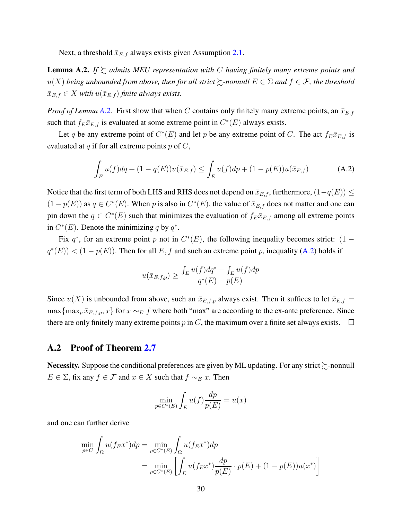Next, a threshold  $\bar{x}_{E,f}$  always exists given Assumption [2.1.](#page-4-1)

<span id="page-29-0"></span>**Lemma A.2.** If  $\succsim$  *admits MEU representation with* C *having finitely many extreme points and*  $u(X)$  *being unbounded from above, then for all strict*  $\succsim$ -nonnull  $E \in \Sigma$  and  $f \in \mathcal{F}$ *, the threshold*  $\bar{x}_{E,f} \in X$  with  $u(\bar{x}_{E,f})$  *finite always exists.* 

*Proof of Lemma [A.2.](#page-29-0)* First show that when C contains only finitely many extreme points, an  $\bar{x}_{E,f}$ such that  $f_E \bar{x}_{E,f}$  is evaluated at some extreme point in  $C^*(E)$  always exists.

Let q be any extreme point of  $C^*(E)$  and let p be any extreme point of C. The act  $f_E \bar{x}_{E,f}$  is evaluated at q if for all extreme points  $p$  of  $C$ ,

<span id="page-29-1"></span>
$$
\int_{E} u(f) dq + (1 - q(E))u(\bar{x}_{E,f}) \le \int_{E} u(f) dp + (1 - p(E))u(\bar{x}_{E,f})
$$
\n(A.2)

Notice that the first term of both LHS and RHS does not depend on  $\bar{x}_{E,f}$ , furthermore,  $(1-q(E)) \leq$  $(1 - p(E))$  as  $q \in C^*(E)$ . When p is also in  $C^*(E)$ , the value of  $\bar{x}_{E,f}$  does not matter and one can pin down the  $q \in C^*(E)$  such that minimizes the evaluation of  $f_E \bar{x}_{E,f}$  among all extreme points in  $C^*(E)$ . Denote the minimizing q by  $q^*$ .

Fix  $q^*$ , for an extreme point p not in  $C^*(E)$ , the following inequality becomes strict:  $(1$  $q^*(E)$  <  $(1 - p(E))$ . Then for all E, f and such an extreme point p, inequality [\(A.2\)](#page-29-1) holds if

$$
u(\bar{x}_{E,f,p}) \ge \frac{\int_E u(f) dq^* - \int_E u(f) dp}{q^*(E) - p(E)}
$$

Since  $u(X)$  is unbounded from above, such an  $\bar{x}_{E,f,p}$  always exist. Then it suffices to let  $\bar{x}_{E,f}$  =  $\max\{\max_p \bar{x}_{E,f,p}, x\}$  for  $x \sim_E f$  where both "max" are according to the ex-ante preference. Since there are only finitely many extreme points p in C, the maximum over a finite set always exists.  $\Box$ 

#### A.2 Proof of Theorem [2.7](#page-10-0)

Necessity. Suppose the conditional preferences are given by ML updating. For any strict  $\succsim$ -nonnull  $E \in \Sigma$ , fix any  $f \in \mathcal{F}$  and  $x \in X$  such that  $f \sim_E x$ . Then

$$
\min_{p \in C^*(E)} \int_E u(f) \frac{dp}{p(E)} = u(x)
$$

and one can further derive

$$
\min_{p \in C} \int_{\Omega} u(f_E x^*) dp = \min_{p \in C^*(E)} \int_{\Omega} u(f_E x^*) dp
$$
  
= 
$$
\min_{p \in C^*(E)} \left[ \int_{E} u(f_E x^*) \frac{dp}{p(E)} \cdot p(E) + (1 - p(E))u(x^*) \right]
$$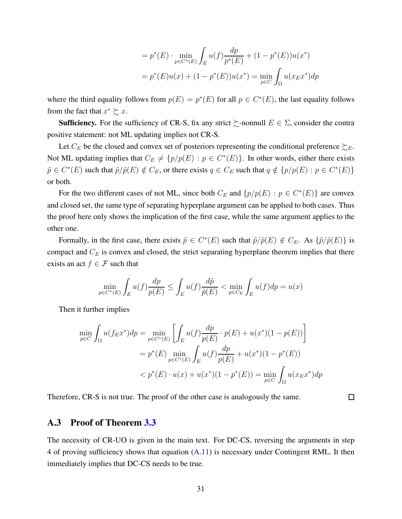$$
= p^*(E) \cdot \min_{p \in C^*(E)} \int_E u(f) \frac{dp}{p^*(E)} + (1 - p^*(E))u(x^*)
$$
  
=  $p^*(E)u(x) + (1 - p^*(E))u(x^*) = \min_{p \in C} \int_{\Omega} u(x_E x^*) dp$ 

where the third equality follows from  $p(E) = p^*(E)$  for all  $p \in C^*(E)$ , the last equality follows from the fact that  $x^* \succsim x$ .

**Sufficiency.** For the sufficiency of CR-S, fix any strict  $\succeq$ -nonnull  $E \in \Sigma$ , consider the contra positive statement: not ML updating implies not CR-S.

Let  $C_E$  be the closed and convex set of posteriors representing the conditional preference  $\succeq_E$ . Not ML updating implies that  $C_E \neq \{p/p(E) : p \in C^*(E)\}\$ . In other words, either there exists  $\tilde{p} \in C^*(E)$  such that  $\tilde{p}/\tilde{p}(E) \notin C_E$ , or there exists  $q \in C_E$  such that  $q \notin \{p/p(E) : p \in C^*(E)\}\$ or both.

For the two different cases of not ML, since both  $C_E$  and  $\{p/p(E) : p \in C^*(E)\}\)$  are convex and closed set, the same type of separating hyperplane argument can be applied to both cases. Thus the proof here only shows the implication of the first case, while the same argument applies to the other one.

Formally, in the first case, there exists  $\tilde{p} \in C^*(E)$  such that  $\tilde{p}/\tilde{p}(E) \notin C_E$ . As  $\{\tilde{p}/\tilde{p}(E)\}$  is compact and  $C_E$  is convex and closed, the strict separating hyperplane theorem implies that there exists an act  $f \in \mathcal{F}$  such that

$$
\min_{p \in C^*(E)} \int_E u(f) \frac{dp}{p(E)} \le \int_E u(f) \frac{d\tilde{p}}{\tilde{p}(E)} < \min_{p \in C_E} \int_E u(f) dp = u(x)
$$

Then it further implies

$$
\min_{p \in C} \int_{\Omega} u(f_E x^*) dp = \min_{p \in C^*(E)} \left[ \int_{E} u(f) \frac{dp}{p(E)} \cdot p(E) + u(x^*)(1 - p(E)) \right]
$$
  
=  $p^*(E) \min_{p \in C^*(E)} \int_{E} u(f) \frac{dp}{p(E)} + u(x^*)(1 - p^*(E))$   
<  $p^*(E) \cdot u(x) + u(x^*)(1 - p^*(E)) = \min_{p \in C} \int_{\Omega} u(x_E x^*) dp$ 

 $\Box$ 

Therefore, CR-S is not true. The proof of the other case is analogously the same.

## A.3 Proof of Theorem [3.3](#page-13-0)

The necessity of CR-UO is given in the main text. For DC-CS, reversing the arguments in step 4 of proving sufficiency shows that equation [\(A.11\)](#page-37-0) is necessary under Contingent RML. It then immediately implies that DC-CS needs to be true.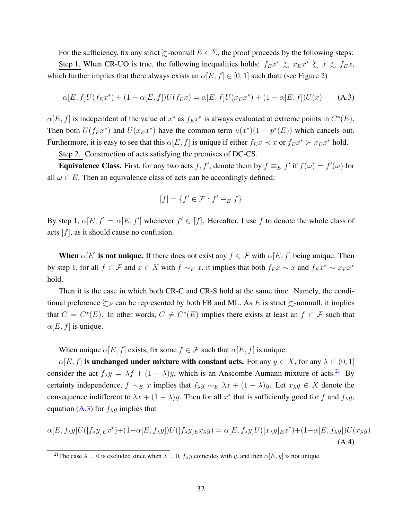For the sufficiency, fix any strict  $\succeq$ -nonnull  $E \in \Sigma$ , the proof proceeds by the following steps: Step 1. When CR-UO is true, the following inequalities holds:  $f_{E}x^* \gtrsim x_{E}x^* \gtrsim x \gtrsim f_{E}x$ , which further implies that there always exists an  $\alpha[E, f] \in [0, 1]$  such that: (see Figure [2\)](#page-14-0)

<span id="page-31-0"></span>
$$
\alpha[E, f]U(f_{E}x^{*}) + (1 - \alpha[E, f])U(f_{E}x) = \alpha[E, f]U(x_{E}x^{*}) + (1 - \alpha[E, f])U(x)
$$
 (A.3)

 $\alpha[E, f]$  is independent of the value of  $x^*$  as  $f_{E}x^*$  is always evaluated at extreme points in  $C^*(E)$ . Then both  $U(f_{E}x^*)$  and  $U(x_{E}x^*)$  have the common term  $u(x^*)(1 - p^*(E))$  which cancels out. Furthermore, it is easy to see that this  $\alpha[E, f]$  is unique if either  $f_{E}x \prec x$  or  $f_{E}x^* \succ x_{E}x^*$  hold.

Step 2. Construction of acts satisfying the premises of DC-CS.

**Equivalence Class.** First, for any two acts f, f', denote them by  $f \equiv_E f'$  if  $f(\omega) = f'(\omega)$  for all  $\omega \in E$ . Then an equivalence class of acts can be accordingly defined:

$$
[f] = \{f' \in \mathcal{F} : f' \equiv_E f\}
$$

By step 1,  $\alpha[E, f] = \alpha[E, f']$  whenever  $f' \in [f]$ . Hereafter, I use f to denote the whole class of acts  $[f]$ , as it should cause no confusion.

When  $\alpha[E]$  is not unique. If there does not exist any  $f \in \mathcal{F}$  with  $\alpha[E, f]$  being unique. Then by step 1, for all  $f \in \mathcal{F}$  and  $x \in X$  with  $f \sim_E x$ , it implies that both  $f_{E}x \sim x$  and  $f_{E}x^* \sim x_{E}x^*$ hold.

Then it is the case in which both CR-C and CR-S hold at the same time. Namely, the conditional preference  $\succsim_E$  can be represented by both FB and ML. As E is strict  $\succsim$ -nonnull, it implies that  $C = C^*(E)$ . In other words,  $C \neq C^*(E)$  implies there exists at least an  $f \in \mathcal{F}$  such that  $\alpha[E, f]$  is unique.

When unique  $\alpha[E, f]$  exists, fix some  $f \in \mathcal{F}$  such that  $\alpha[E, f]$  is unique.

 $\alpha[E, f]$  is unchanged under mixture with constant acts. For any  $y \in X$ , for any  $\lambda \in (0, 1]$ consider the act  $f_{\lambda}y = \lambda f + (1 - \lambda)y$ , which is an Anscombe-Aumann mixture of acts.<sup>21</sup> By certainty independence,  $f \sim_E x$  implies that  $f_{\lambda}y \sim_E \lambda x + (1 - \lambda)y$ . Let  $x_{\lambda}y \in X$  denote the consequence indifferent to  $\lambda x + (1 - \lambda)y$ . Then for all  $x^*$  that is sufficiently good for f and  $f_{\lambda}y$ , equation [\(A.3\)](#page-31-0) for  $f_{\lambda}y$  implies that

<span id="page-31-1"></span>
$$
\alpha[E, f_{\lambda}y]U([f_{\lambda}y]_Ex^*) + (1 - \alpha[E, f_{\lambda}y])U([f_{\lambda}y]_Ex_{\lambda}y) = \alpha[E, f_{\lambda}y]U([x_{\lambda}y]_Ex^*) + (1 - \alpha[E, f_{\lambda}y])U(x_{\lambda}y)
$$
\n(A.4)

<sup>&</sup>lt;sup>21</sup>The case  $\lambda = 0$  is excluded since when  $\lambda = 0$ ,  $f_{\lambda}y$  coincides with y, and then  $\alpha[E, y]$  is not unique.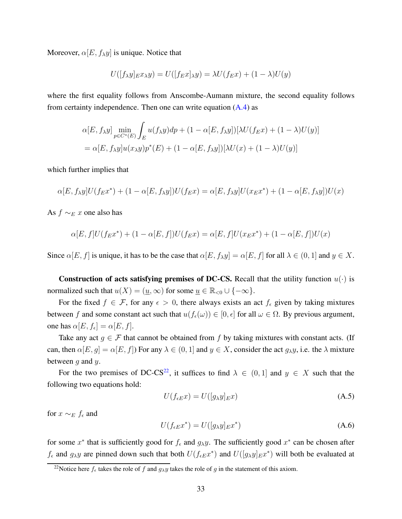Moreover,  $\alpha[E, f_{\lambda}y]$  is unique. Notice that

$$
U([f_{\lambda}y]_{E}x_{\lambda}y) = U([f_{E}x]_{\lambda}y) = \lambda U(f_{E}x) + (1 - \lambda)U(y)
$$

where the first equality follows from Anscombe-Aumann mixture, the second equality follows from certainty independence. Then one can write equation  $(A.4)$  as

$$
\alpha[E, f_{\lambda}y] \min_{p \in C^*(E)} \int_E u(f_{\lambda}y) dp + (1 - \alpha[E, f_{\lambda}y])[\lambda U(f_E x) + (1 - \lambda)U(y)]
$$
  
=  $\alpha[E, f_{\lambda}y]u(x_{\lambda}y)p^*(E) + (1 - \alpha[E, f_{\lambda}y])[\lambda U(x) + (1 - \lambda)U(y)]$ 

which further implies that

$$
\alpha[E, f_{\lambda}y]U(f_{E}x^{*}) + (1 - \alpha[E, f_{\lambda}y])U(f_{E}x) = \alpha[E, f_{\lambda}y]U(x_{E}x^{*}) + (1 - \alpha[E, f_{\lambda}y])U(x)
$$

As  $f \sim_E x$  one also has

$$
\alpha[E, f]U(f_{E}x^{*}) + (1 - \alpha[E, f])U(f_{E}x) = \alpha[E, f]U(x_{E}x^{*}) + (1 - \alpha[E, f])U(x)
$$

Since  $\alpha[E, f]$  is unique, it has to be the case that  $\alpha[E, f_{\lambda}y] = \alpha[E, f]$  for all  $\lambda \in (0, 1]$  and  $y \in X$ .

**Construction of acts satisfying premises of DC-CS.** Recall that the utility function  $u(\cdot)$  is normalized such that  $u(X) = (\underline{u}, \infty)$  for some  $\underline{u} \in \mathbb{R}_{< 0} \cup \{-\infty\}.$ 

For the fixed  $f \in \mathcal{F}$ , for any  $\epsilon > 0$ , there always exists an act  $f_{\epsilon}$  given by taking mixtures between f and some constant act such that  $u(f_\epsilon(\omega)) \in [0, \epsilon]$  for all  $\omega \in \Omega$ . By previous argument, one has  $\alpha[E, f_{\epsilon}] = \alpha[E, f]$ .

Take any act  $g \in \mathcal{F}$  that cannot be obtained from f by taking mixtures with constant acts. (If can, then  $\alpha[E, g] = \alpha[E, f]$  For any  $\lambda \in (0, 1]$  and  $y \in X$ , consider the act  $g_{\lambda}y$ , i.e. the  $\lambda$  mixture between  $q$  and  $y$ .

For the two premises of DC-CS<sup>22</sup>, it suffices to find  $\lambda \in (0,1]$  and  $y \in X$  such that the following two equations hold:

<span id="page-32-1"></span>
$$
U(f_{\epsilon E}x) = U([g_{\lambda}y]_{E}x)
$$
\n(A.5)

for  $x \sim_E f_\epsilon$  and

<span id="page-32-0"></span>
$$
U(f_{\epsilon E}x^*) = U([g_{\lambda}y]_{E}x^*)
$$
\n(A.6)

for some  $x^*$  that is sufficiently good for  $f_\epsilon$  and  $g_\lambda y$ . The sufficiently good  $x^*$  can be chosen after  $f_{\epsilon}$  and  $g_{\lambda}y$  are pinned down such that both  $U(f_{\epsilon E}x^*)$  and  $U([g_{\lambda}y]_E x^*)$  will both be evaluated at

<sup>&</sup>lt;sup>22</sup>Notice here  $f_{\epsilon}$  takes the role of f and  $g_{\lambda}y$  takes the role of g in the statement of this axiom.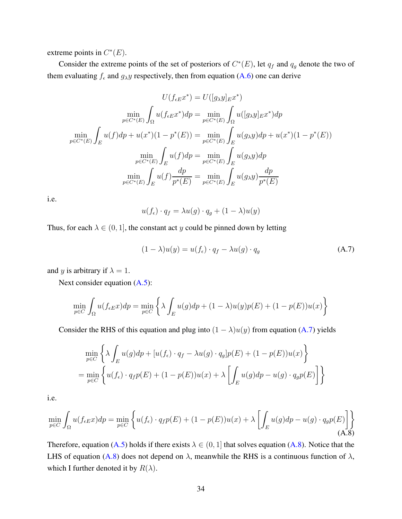extreme points in  $C^*(E)$ .

Consider the extreme points of the set of posteriors of  $C^*(E)$ , let  $q_f$  and  $q_g$  denote the two of them evaluating  $f_{\epsilon}$  and  $g_{\lambda}y$  respectively, then from equation [\(A.6\)](#page-32-0) one can derive

$$
U(f_{eE}x^*) = U([g_{\lambda}y]_{E}x^*)
$$
  
\n
$$
\min_{p \in C^*(E)} \int_{\Omega} u(f_{eE}x^*) dp = \min_{p \in C^*(E)} \int_{\Omega} u([g_{\lambda}y]_{E}x^*) dp
$$
  
\n
$$
\min_{p \in C^*(E)} \int_{E} u(f) dp + u(x^*)(1 - p^*(E)) = \min_{p \in C^*(E)} \int_{E} u(g_{\lambda}y) dp + u(x^*)(1 - p^*(E))
$$
  
\n
$$
\min_{p \in C^*(E)} \int_{E} u(f) dp = \min_{p \in C^*(E)} \int_{E} u(g_{\lambda}y) dp
$$
  
\n
$$
\min_{p \in C^*(E)} \int_{E} u(f) \frac{dp}{p^*(E)} = \min_{p \in C^*(E)} \int_{E} u(g_{\lambda}y) \frac{dp}{p^*(E)}
$$

i.e.

$$
u(f_{\epsilon}) \cdot q_f = \lambda u(g) \cdot q_g + (1 - \lambda)u(y)
$$

Thus, for each  $\lambda \in (0, 1]$ , the constant act y could be pinned down by letting

<span id="page-33-0"></span>
$$
(1 - \lambda)u(y) = u(f_{\epsilon}) \cdot q_f - \lambda u(g) \cdot q_g \tag{A.7}
$$

and y is arbitrary if  $\lambda = 1$ .

Next consider equation  $(A.5)$ :

$$
\min_{p \in C} \int_{\Omega} u(f_{\epsilon E}x) dp = \min_{p \in C} \left\{ \lambda \int_{E} u(g) dp + (1 - \lambda)u(y)p(E) + (1 - p(E))u(x) \right\}
$$

Consider the RHS of this equation and plug into  $(1 - \lambda)u(y)$  from equation [\(A.7\)](#page-33-0) yields

$$
\min_{p \in C} \left\{ \lambda \int_{E} u(g) dp + [u(f_{\epsilon}) \cdot q_{f} - \lambda u(g) \cdot q_{g}] p(E) + (1 - p(E)) u(x) \right\}
$$
\n
$$
= \min_{p \in C} \left\{ u(f_{\epsilon}) \cdot q_{f} p(E) + (1 - p(E)) u(x) + \lambda \left[ \int_{E} u(g) dp - u(g) \cdot q_{g} p(E) \right] \right\}
$$

i.e.

<span id="page-33-1"></span>
$$
\min_{p \in C} \int_{\Omega} u(f_{\epsilon E}x) dp = \min_{p \in C} \left\{ u(f_{\epsilon}) \cdot q_f p(E) + (1 - p(E))u(x) + \lambda \left[ \int_{E} u(g) dp - u(g) \cdot q_g p(E) \right] \right\}
$$
\n(A.8)

Therefore, equation [\(A.5\)](#page-32-1) holds if there exists  $\lambda \in (0, 1]$  that solves equation [\(A.8\)](#page-33-1). Notice that the LHS of equation [\(A.8\)](#page-33-1) does not depend on  $\lambda$ , meanwhile the RHS is a continuous function of  $\lambda$ , which I further denoted it by  $R(\lambda)$ .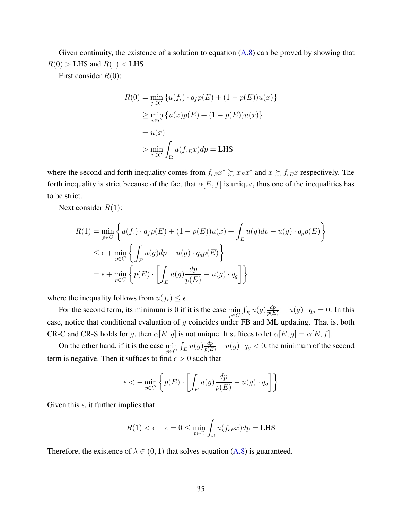Given continuity, the existence of a solution to equation  $(A.8)$  can be proved by showing that  $R(0)$  > LHS and  $R(1)$  < LHS.

First consider  $R(0)$ :

$$
R(0) = \min_{p \in C} \{u(f_{\epsilon}) \cdot q_{f}p(E) + (1 - p(E))u(x)\}
$$
  
\n
$$
\geq \min_{p \in C} \{u(x)p(E) + (1 - p(E))u(x)\}
$$
  
\n
$$
= u(x)
$$
  
\n
$$
> \min_{p \in C} \int_{\Omega} u(f_{\epsilon E}x) dp = \text{LHS}
$$

where the second and forth inequality comes from  $f_{\epsilon E}x^* \succsim x_Ex^*$  and  $x \succsim f_{\epsilon E}x$  respectively. The forth inequality is strict because of the fact that  $\alpha[E, f]$  is unique, thus one of the inequalities has to be strict.

Next consider  $R(1)$ :

$$
R(1) = \min_{p \in C} \left\{ u(f_{\epsilon}) \cdot q_{f}p(E) + (1 - p(E))u(x) + \int_{E} u(g)dp - u(g) \cdot q_{g}p(E) \right\}
$$
  
\n
$$
\leq \epsilon + \min_{p \in C} \left\{ \int_{E} u(g)dp - u(g) \cdot q_{g}p(E) \right\}
$$
  
\n
$$
= \epsilon + \min_{p \in C} \left\{ p(E) \cdot \left[ \int_{E} u(g) \frac{dp}{p(E)} - u(g) \cdot q_{g} \right] \right\}
$$

where the inequality follows from  $u(f_\epsilon) \leq \epsilon$ .

For the second term, its minimum is 0 if it is the case  $\min_{p \in C} \int_E u(g) \frac{dp}{p(E)} - u(g) \cdot q_g = 0$ . In this case, notice that conditional evaluation of  $g$  coincides under FB and ML updating. That is, both CR-C and CR-S holds for g, then  $\alpha[E, g]$  is not unique. It suffices to let  $\alpha[E, g] = \alpha[E, f]$ .

On the other hand, if it is the case  $\min_{p \in C} \int_E u(g) \frac{dp}{p(E)} - u(g) \cdot q_g < 0$ , the minimum of the second term is negative. Then it suffices to find  $\epsilon > 0$  such that

$$
\epsilon < -\min_{p \in C} \left\{ p(E) \cdot \left[ \int_E u(g) \frac{dp}{p(E)} - u(g) \cdot q_g \right] \right\}
$$

Given this  $\epsilon$ , it further implies that

$$
R(1) < \epsilon - \epsilon = 0 \le \min_{p \in C} \int_{\Omega} u(f_{\epsilon E} x) dp = \text{LHS}
$$

Therefore, the existence of  $\lambda \in (0,1)$  that solves equation [\(A.8\)](#page-33-1) is guaranteed.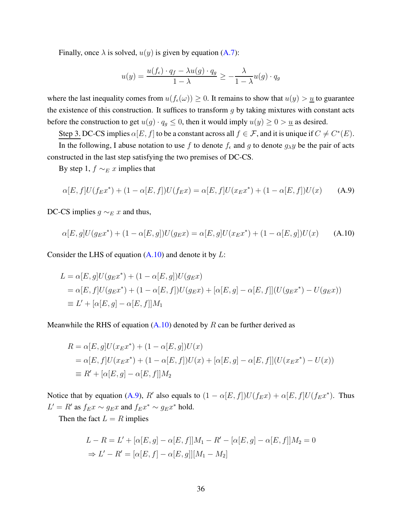Finally, once  $\lambda$  is solved,  $u(y)$  is given by equation [\(A.7\)](#page-33-0):

$$
u(y) = \frac{u(f_{\epsilon}) \cdot q_f - \lambda u(g) \cdot q_g}{1 - \lambda} \ge -\frac{\lambda}{1 - \lambda} u(g) \cdot q_g
$$

where the last inequality comes from  $u(f_\epsilon(\omega)) \geq 0$ . It remains to show that  $u(y) > u$  to guarantee the existence of this construction. It suffices to transform  $q$  by taking mixtures with constant acts before the construction to get  $u(g) \cdot q_g \le 0$ , then it would imply  $u(y) \ge 0 > u$  as desired.

Step 3. DC-CS implies  $\alpha[E, f]$  to be a constant across all  $f \in \mathcal{F}$ , and it is unique if  $C \neq C^*(E)$ .

In the following, I abuse notation to use f to denote  $f_{\epsilon}$  and g to denote  $g_{\lambda}y$  be the pair of acts constructed in the last step satisfying the two premises of DC-CS.

By step 1,  $f \sim_E x$  implies that

<span id="page-35-1"></span>
$$
\alpha[E, f]U(f_{E}x^{*}) + (1 - \alpha[E, f])U(f_{E}x) = \alpha[E, f]U(x_{E}x^{*}) + (1 - \alpha[E, f])U(x)
$$
 (A.9)

DC-CS implies  $g \sim_E x$  and thus,

<span id="page-35-0"></span>
$$
\alpha[E,g]U(g_{E}x^{*}) + (1 - \alpha[E,g])U(g_{E}x) = \alpha[E,g]U(x_{E}x^{*}) + (1 - \alpha[E,g])U(x)
$$
 (A.10)

Consider the LHS of equation  $(A.10)$  and denote it by  $L$ :

$$
L = \alpha[E, g]U(g_{E}x^{*}) + (1 - \alpha[E, g])U(g_{E}x)
$$
  
=  $\alpha[E, f]U(g_{E}x^{*}) + (1 - \alpha[E, f])U(g_{E}x) + [\alpha[E, g] - \alpha[E, f]](U(g_{E}x^{*}) - U(g_{E}x))$   
 $\equiv L' + [\alpha[E, g] - \alpha[E, f]]M_{1}$ 

Meanwhile the RHS of equation  $(A.10)$  denoted by R can be further derived as

$$
R = \alpha[E, g]U(x_{E}x^{*}) + (1 - \alpha[E, g])U(x)
$$
  
=  $\alpha[E, f]U(x_{E}x^{*}) + (1 - \alpha[E, f])U(x) + [\alpha[E, g] - \alpha[E, f]](U(x_{E}x^{*}) - U(x))$   
 $\equiv R' + [\alpha[E, g] - \alpha[E, f]]M_2$ 

Notice that by equation [\(A.9\)](#page-35-1), R' also equals to  $(1 - \alpha[E, f])U(f_{E}x) + \alpha[E, f]U(f_{E}x^{*})$ . Thus  $L' = R'$  as  $f_{E}x \sim g_{E}x$  and  $f_{E}x^{*} \sim g_{E}x^{*}$  hold.

Then the fact  $L = R$  implies

$$
L - R = L' + [\alpha[E, g] - \alpha[E, f]]M_1 - R' - [\alpha[E, g] - \alpha[E, f]]M_2 = 0
$$
  
\n
$$
\Rightarrow L' - R' = [\alpha[E, f] - \alpha[E, g]][M_1 - M_2]
$$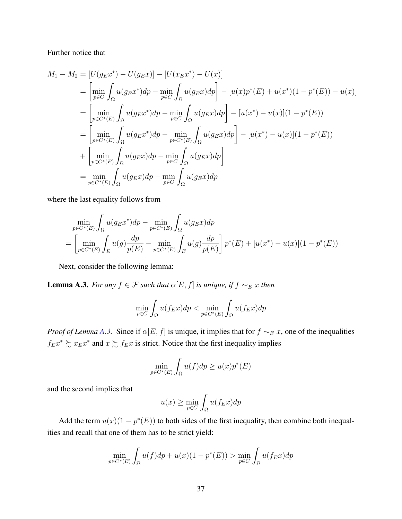Further notice that

$$
M_1 - M_2 = [U(g_E x^*) - U(g_E x)] - [U(x_E x^*) - U(x)]
$$
  
\n
$$
= \left[ \min_{p \in C} \int_{\Omega} u(g_E x^*) dp - \min_{p \in C} \int_{\Omega} u(g_E x) dp \right] - [u(x)p^*(E) + u(x^*)(1 - p^*(E)) - u(x)]
$$
  
\n
$$
= \left[ \min_{p \in C^*(E)} \int_{\Omega} u(g_E x^*) dp - \min_{p \in C} \int_{\Omega} u(g_E x) dp \right] - [u(x^*) - u(x)](1 - p^*(E))
$$
  
\n
$$
= \left[ \min_{p \in C^*(E)} \int_{\Omega} u(g_E x^*) dp - \min_{p \in C^*(E)} \int_{\Omega} u(g_E x) dp \right] - [u(x^*) - u(x)](1 - p^*(E))
$$
  
\n
$$
+ \left[ \min_{p \in C^*(E)} \int_{\Omega} u(g_E x) dp - \min_{p \in C} \int_{\Omega} u(g_E x) dp \right]
$$
  
\n
$$
= \min_{p \in C^*(E)} \int_{\Omega} u(g_E x) dp - \min_{p \in C} \int_{\Omega} u(g_E x) dp
$$

where the last equality follows from

$$
\min_{p \in C^*(E)} \int_{\Omega} u(g_E x^*) dp - \min_{p \in C^*(E)} \int_{\Omega} u(g_E x) dp
$$
\n
$$
= \left[ \min_{p \in C^*(E)} \int_{E} u(g) \frac{dp}{p(E)} - \min_{p \in C^*(E)} \int_{E} u(g) \frac{dp}{p(E)} \right] p^*(E) + [u(x^*) - u(x)](1 - p^*(E))
$$

Next, consider the following lemma:

<span id="page-36-0"></span>**Lemma A.3.** *For any*  $f \in \mathcal{F}$  *such that*  $\alpha[E, f]$  *is unique, if*  $f \sim_{E} x$  *then* 

$$
\min_{p \in C} \int_{\Omega} u(f_{E}x) dp < \min_{p \in C^{*}(E)} \int_{\Omega} u(f_{E}x) dp
$$

*Proof of Lemma [A.3.](#page-36-0)* Since if  $\alpha[E, f]$  is unique, it implies that for  $f \sim_{E} x$ , one of the inequalities  $f_{E}x^* \succsim x_{E}x^*$  and  $x \succsim f_{E}x$  is strict. Notice that the first inequality implies

$$
\min_{p \in C^*(E)} \int_{\Omega} u(f) dp \ge u(x) p^*(E)
$$

and the second implies that

$$
u(x) \ge \min_{p \in C} \int_{\Omega} u(f_{E}x) dp
$$

Add the term  $u(x)(1 - p^*(E))$  to both sides of the first inequality, then combine both inequalities and recall that one of them has to be strict yield:

$$
\min_{p \in C^*(E)} \int_{\Omega} u(f) dp + u(x) (1 - p^*(E)) > \min_{p \in C} \int_{\Omega} u(f_E x) dp
$$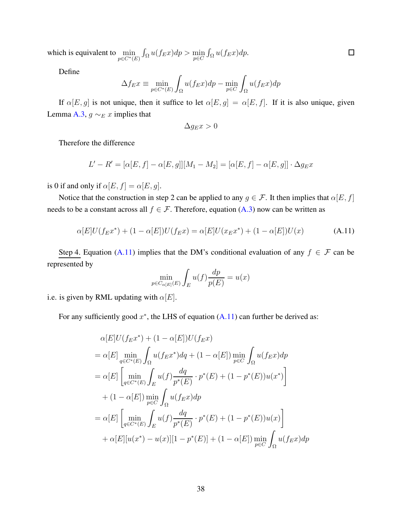which is equivalent to  $\min_{p \in C^*(E)} \int_{\Omega} u(f_E x) dp > \min_{p \in C} \int_{\Omega} u(f_E x) dp.$ 

Define

$$
\Delta f_E x \equiv \min_{p \in C^*(E)} \int_{\Omega} u(f_E x) dp - \min_{p \in C} \int_{\Omega} u(f_E x) dp
$$

If  $\alpha[E, g]$  is not unique, then it suffice to let  $\alpha[E, g] = \alpha[E, f]$ . If it is also unique, given Lemma [A.3,](#page-36-0)  $g \sim_E x$  implies that

$$
\Delta g_E x > 0
$$

Therefore the difference

$$
L' - R' = [\alpha[E, f] - \alpha[E, g]] [M_1 - M_2] = [\alpha[E, f] - \alpha[E, g]] \cdot \Delta g_{E} x
$$

is 0 if and only if  $\alpha[E, f] = \alpha[E, g]$ .

Notice that the construction in step 2 can be applied to any  $g \in \mathcal{F}$ . It then implies that  $\alpha[E, f]$ needs to be a constant across all  $f \in \mathcal{F}$ . Therefore, equation [\(A.3\)](#page-31-0) now can be written as

<span id="page-37-0"></span>
$$
\alpha[E]U(f_{E}x^{*}) + (1 - \alpha[E])U(f_{E}x) = \alpha[E]U(x_{E}x^{*}) + (1 - \alpha[E])U(x)
$$
 (A.11)

Step 4. Equation [\(A.11\)](#page-37-0) implies that the DM's conditional evaluation of any  $f \in \mathcal{F}$  can be represented by

$$
\min_{p \in C_{\alpha[E]}(E)} \int_{E} u(f) \frac{dp}{p(E)} = u(x)
$$

i.e. is given by RML updating with  $\alpha[E]$ .

For any sufficiently good  $x^*$ , the LHS of equation  $(A.11)$  can further be derived as:

$$
\alpha[E]U(f_{E}x^{*}) + (1 - \alpha[E])U(f_{E}x)
$$
\n
$$
= \alpha[E] \min_{q \in C^{*}(E)} \int_{\Omega} u(f_{E}x^{*})dq + (1 - \alpha[E]) \min_{p \in C} \int_{\Omega} u(f_{E}x)dp
$$
\n
$$
= \alpha[E] \left[ \min_{q \in C^{*}(E)} \int_{E} u(f) \frac{dq}{p^{*}(E)} \cdot p^{*}(E) + (1 - p^{*}(E))u(x^{*}) \right]
$$
\n
$$
+ (1 - \alpha[E]) \min_{p \in C} \int_{\Omega} u(f_{E}x)dp
$$
\n
$$
= \alpha[E] \left[ \min_{q \in C^{*}(E)} \int_{E} u(f) \frac{dq}{p^{*}(E)} \cdot p^{*}(E) + (1 - p^{*}(E))u(x) \right]
$$
\n
$$
+ \alpha[E][u(x^{*}) - u(x)][1 - p^{*}(E)] + (1 - \alpha[E]) \min_{p \in C} \int_{\Omega} u(f_{E}x)dp
$$

 $\Box$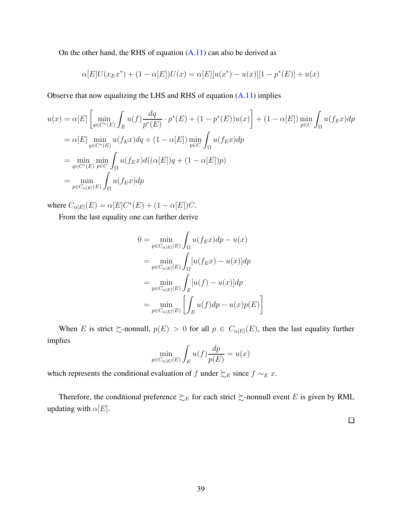On the other hand, the RHS of equation  $(A.11)$  can also be derived as

$$
\alpha[E]U(x_{E}x^{*}) + (1 - \alpha[E])U(x) = \alpha[E][u(x^{*}) - u(x)][1 - p^{*}(E)] + u(x)
$$

Observe that now equalizing the LHS and RHS of equation [\(A.11\)](#page-37-0) implies

$$
u(x) = \alpha[E] \left[ \min_{q \in C^*(E)} \int_E u(f) \frac{dq}{p^*(E)} \cdot p^*(E) + (1 - p^*(E))u(x) \right] + (1 - \alpha[E]) \min_{p \in C} \int_{\Omega} u(f_E x) dp
$$
  
\n
$$
= \alpha[E] \min_{q \in C^*(E)} u(f_E x) dq + (1 - \alpha[E]) \min_{p \in C} \int_{\Omega} u(f_E x) dp
$$
  
\n
$$
= \min_{q \in C^*(E)} \min_{p \in C} \int_{\Omega} u(f_E x) d((\alpha[E])q + (1 - \alpha[E])p)
$$
  
\n
$$
= \min_{p \in C_{\alpha[E]}(E)} \int_{\Omega} u(f_E x) dp
$$

where  $C_{\alpha[E]}(E) = \alpha[E]C^*(E) + (1 - \alpha[E])C$ .

From the last equality one can further derive

$$
0 = \min_{p \in C_{\alpha[E]}(E)} \int_{\Omega} u(f_E x) dp - u(x)
$$
  
= 
$$
\min_{p \in C_{\alpha[E]}(E)} \int_{\Omega} [u(f_E x) - u(x)] dp
$$
  
= 
$$
\min_{p \in C_{\alpha[E]}(E)} \int_{E} [u(f) - u(x)] dp
$$
  
= 
$$
\min_{p \in C_{\alpha[E]}(E)} \left[ \int_{E} u(f) dp - u(x) p(E) \right]
$$

When E is strict  $\gtrsim$ -nonnull,  $p(E) > 0$  for all  $p \in C_{\alpha[E]}(E)$ , then the last equality further implies

$$
\min_{p \in C_{\alpha[E]}(E)} \int_{E} u(f) \frac{dp}{p(E)} = u(x)
$$

which represents the conditional evaluation of f under  $\succsim_E$  since  $f \sim_E x$ .

Therefore, the conditional preference  $\succsim_E$  for each strict  $\succsim$ -nonnull event E is given by RML updating with  $\alpha[E]$ .

 $\Box$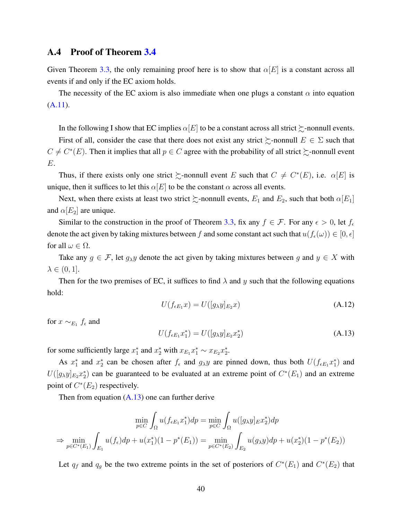#### A.4 Proof of Theorem [3.4](#page-15-0)

Given Theorem [3.3,](#page-13-0) the only remaining proof here is to show that  $\alpha[E]$  is a constant across all events if and only if the EC axiom holds.

The necessity of the EC axiom is also immediate when one plugs a constant  $\alpha$  into equation [\(A.11\)](#page-37-0).

In the following I show that EC implies  $\alpha[E]$  to be a constant across all strict  $\succsim$ -nonnull events.

First of all, consider the case that there does not exist any strict  $\succeq$ -nonnull  $E \in \Sigma$  such that  $C \neq C^*(E)$ . Then it implies that all  $p \in C$  agree with the probability of all strict  $\succsim$ -nonnull event E.

Thus, if there exists only one strict  $\succsim$ -nonnull event E such that  $C \neq C^*(E)$ , i.e.  $\alpha[E]$  is unique, then it suffices to let this  $\alpha[E]$  to be the constant  $\alpha$  across all events.

Next, when there exists at least two strict  $\succeq$ -nonnull events,  $E_1$  and  $E_2$ , such that both  $\alpha[E_1]$ and  $\alpha[E_2]$  are unique.

Similar to the construction in the proof of Theorem [3.3,](#page-13-0) fix any  $f \in \mathcal{F}$ . For any  $\epsilon > 0$ , let  $f_{\epsilon}$ denote the act given by taking mixtures between f and some constant act such that  $u(f_\epsilon(\omega)) \in [0, \epsilon]$ for all  $\omega \in \Omega$ .

Take any  $g \in \mathcal{F}$ , let  $g_{\lambda}y$  denote the act given by taking mixtures between g and  $y \in X$  with  $\lambda \in (0,1].$ 

Then for the two premises of EC, it suffices to find  $\lambda$  and y such that the following equations hold:

<span id="page-39-1"></span>
$$
U(f_{\epsilon E_1}x) = U([g_{\lambda}y]_{E_2}x) \tag{A.12}
$$

for  $x \sim_{E_1} f_{\epsilon}$  and

<span id="page-39-0"></span>
$$
U(f_{\epsilon E_1}x_1^*) = U([g_{\lambda}y]_{E_2}x_2^*)
$$
\n(A.13)

for some sufficiently large  $x_1^*$  and  $x_2^*$  with  $x_{E_1}x_1^* \sim x_{E_2}x_2^*$ .

As  $x_1^*$  and  $x_2^*$  can be chosen after  $f_\epsilon$  and  $g_\lambda y$  are pinned down, thus both  $U(f_{\epsilon E_1}x_1^*)$  and  $U([g_{\lambda}y]_{E_2}x_2^*)$  can be guaranteed to be evaluated at an extreme point of  $C^*(E_1)$  and an extreme point of  $C^*(E_2)$  respectively.

Then from equation  $(A.13)$  one can further derive

$$
\min_{p \in C} \int_{\Omega} u(f_{\epsilon E_1} x_1^*) dp = \min_{p \in C} \int_{\Omega} u([g_{\lambda} y]_{E} x_2^*) dp
$$
  
\n
$$
\Rightarrow \min_{p \in C^*(E_1)} \int_{E_1} u(f_{\epsilon}) dp + u(x_1^*) (1 - p^*(E_1)) = \min_{p \in C^*(E_2)} \int_{E_2} u(g_{\lambda} y) dp + u(x_2^*) (1 - p^*(E_2))
$$

Let  $q_f$  and  $q_g$  be the two extreme points in the set of posteriors of  $C^*(E_1)$  and  $C^*(E_2)$  that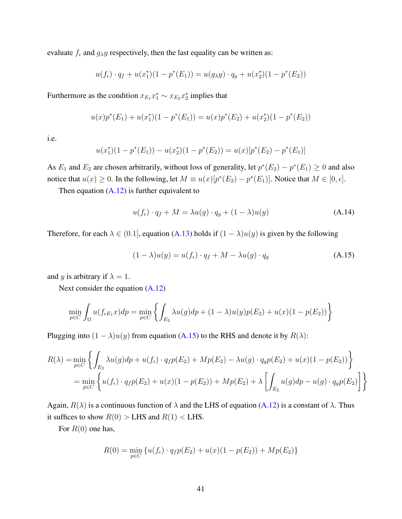evaluate  $f_{\epsilon}$  and  $g_{\lambda}y$  respectively, then the last equality can be written as:

$$
u(f_{\epsilon}) \cdot q_f + u(x_1^*)(1 - p^*(E_1)) = u(g_{\lambda}y) \cdot q_g + u(x_2^*)(1 - p^*(E_2))
$$

Furthermore as the condition  $x_{E_1}x_1^* \sim x_{E_2}x_2^*$  implies that

$$
u(x)p^*(E_1) + u(x_1^*)(1 - p^*(E_1)) = u(x)p^*(E_2) + u(x_2^*)(1 - p^*(E_2))
$$

i.e.

$$
u(x_1^*)(1 - p^*(E_1)) - u(x_2^*)(1 - p^*(E_2)) = u(x)[p^*(E_2) - p^*(E_1)]
$$

As  $E_1$  and  $E_2$  are chosen arbitrarily, without loss of generality, let  $p^*(E_2) - p^*(E_1) \ge 0$  and also notice that  $u(x) \ge 0$ . In the following, let  $M \equiv u(x)[p^*(E_2) - p^*(E_1)]$ . Notice that  $M \in [0, \epsilon]$ .

Then equation  $(A.12)$  is further equivalent to

$$
u(f_{\epsilon}) \cdot q_f + M = \lambda u(g) \cdot q_g + (1 - \lambda) u(g)
$$
 (A.14)

Therefore, for each  $\lambda \in (0.1]$ , equation [\(A.13\)](#page-39-0) holds if  $(1 - \lambda)u(y)$  is given by the following

<span id="page-40-0"></span>
$$
(1 - \lambda)u(y) = u(f_{\epsilon}) \cdot q_f + M - \lambda u(g) \cdot q_g \tag{A.15}
$$

and y is arbitrary if  $\lambda = 1$ .

Next consider the equation [\(A.12\)](#page-39-1)

$$
\min_{p \in C} \int_{\Omega} u(f_{\epsilon E_1} x) dp = \min_{p \in C} \left\{ \int_{E_2} \lambda u(g) dp + (1 - \lambda) u(y) p(E_2) + u(x) (1 - p(E_2)) \right\}
$$

Plugging into  $(1 - \lambda)u(y)$  from equation [\(A.15\)](#page-40-0) to the RHS and denote it by  $R(\lambda)$ :

$$
R(\lambda) = \min_{p \in C} \left\{ \int_{E_2} \lambda u(g) dp + u(f_{\epsilon}) \cdot q_f p(E_2) + M p(E_2) - \lambda u(g) \cdot q_g p(E_2) + u(x)(1 - p(E_2)) \right\}
$$
  
= 
$$
\min_{p \in C} \left\{ u(f_{\epsilon}) \cdot q_f p(E_2) + u(x)(1 - p(E_2)) + M p(E_2) + \lambda \left[ \int_{E_2} u(g) dp - u(g) \cdot q_g p(E_2) \right] \right\}
$$

Again,  $R(\lambda)$  is a continuous function of  $\lambda$  and the LHS of equation [\(A.12\)](#page-39-1) is a constant of  $\lambda$ . Thus it suffices to show  $R(0) >$  LHS and  $R(1) <$  LHS.

For  $R(0)$  one has,

$$
R(0) = \min_{p \in C} \{ u(f_{\epsilon}) \cdot q_f p(E_2) + u(x)(1 - p(E_2)) + Mp(E_2) \}
$$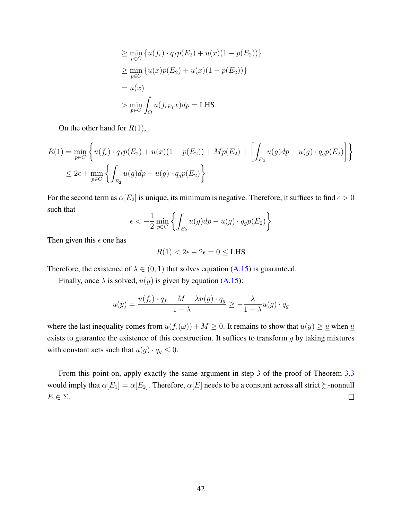$$
\geq \min_{p \in C} \left\{ u(f_{\epsilon}) \cdot q_{f}p(E_{2}) + u(x)(1 - p(E_{2})) \right\}
$$
  
\n
$$
\geq \min_{p \in C} \left\{ u(x)p(E_{2}) + u(x)(1 - p(E_{2})) \right\}
$$
  
\n
$$
= u(x)
$$
  
\n
$$
> \min_{p \in C} \int_{\Omega} u(f_{\epsilon E_{1}}x) dp = \text{LHS}
$$

On the other hand for  $R(1)$ ,

$$
R(1) = \min_{p \in C} \left\{ u(f_{\epsilon}) \cdot q_{f} p(E_{2}) + u(x)(1 - p(E_{2})) + Mp(E_{2}) + \left[ \int_{E_{2}} u(g) dp - u(g) \cdot q_{g} p(E_{2}) \right] \right\}
$$
  

$$
\leq 2\epsilon + \min_{p \in C} \left\{ \int_{E_{2}} u(g) dp - u(g) \cdot q_{g} p(E_{2}) \right\}
$$

For the second term as  $\alpha[E_2]$  is unique, its minimum is negative. Therefore, it suffices to find  $\epsilon > 0$ such that

$$
\epsilon < -\frac{1}{2} \min_{p \in C} \left\{ \int_{E_2} u(g) dp - u(g) \cdot q_g p(E_2) \right\}
$$

Then given this  $\epsilon$  one has

$$
R(1) < 2\epsilon - 2\epsilon = 0 \le \text{LHS}
$$

Therefore, the existence of  $\lambda \in (0, 1)$  that solves equation [\(A.15\)](#page-40-0) is guaranteed.

Finally, once  $\lambda$  is solved,  $u(y)$  is given by equation [\(A.15\)](#page-40-0):

$$
u(y) = \frac{u(f_{\epsilon}) \cdot q_f + M - \lambda u(g) \cdot q_g}{1 - \lambda} \ge -\frac{\lambda}{1 - \lambda} u(g) \cdot q_g
$$

where the last inequality comes from  $u(f_{\epsilon}(\omega)) + M \ge 0$ . It remains to show that  $u(y) \ge \underline{u}$  when  $\underline{u}$ exists to guarantee the existence of this construction. It suffices to transform  $g$  by taking mixtures with constant acts such that  $u(g) \cdot q_g \leq 0$ .

From this point on, apply exactly the same argument in step 3 of the proof of Theorem [3.3](#page-13-0) would imply that  $\alpha[E_1] = \alpha[E_2]$ . Therefore,  $\alpha[E]$  needs to be a constant across all strict  $\succsim$ -nonnull  $\Box$  $E \in \Sigma$ .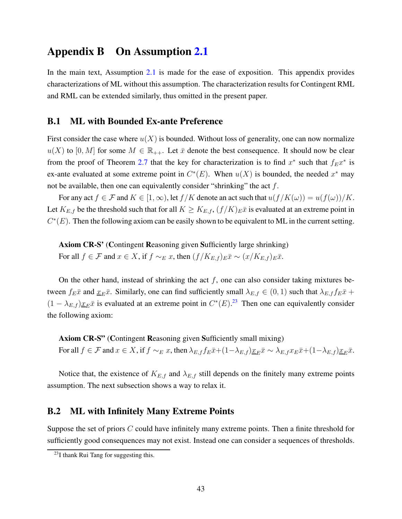## <span id="page-42-0"></span>Appendix B On Assumption [2.1](#page-4-1)

In the main text, Assumption [2.1](#page-4-1) is made for the ease of exposition. This appendix provides characterizations of ML without this assumption. The characterization results for Contingent RML and RML can be extended similarly, thus omitted in the present paper.

#### B.1 ML with Bounded Ex-ante Preference

First consider the case where  $u(X)$  is bounded. Without loss of generality, one can now normalize  $u(X)$  to  $[0, M]$  for some  $M \in \mathbb{R}_{++}$ . Let  $\bar{x}$  denote the best consequence. It should now be clear from the proof of Theorem [2.7](#page-10-0) that the key for characterization is to find  $x^*$  such that  $f_{E}x^*$  is ex-ante evaluated at some extreme point in  $C^*(E)$ . When  $u(X)$  is bounded, the needed  $x^*$  may not be available, then one can equivalently consider "shrinking" the act  $f$ .

For any act  $f \in \mathcal{F}$  and  $K \in [1,\infty)$ , let  $f/K$  denote an act such that  $u(f/K(\omega)) = u(f(\omega))/K$ . Let  $K_{E,f}$  be the threshold such that for all  $K \geq K_{E,f}$ ,  $(f/K)_{E}\bar{x}$  is evaluated at an extreme point in  $C<sup>*</sup>(E)$ . Then the following axiom can be easily shown to be equivalent to ML in the current setting.

Axiom CR-S' (Contingent Reasoning given Sufficiently large shrinking) For all  $f \in \mathcal{F}$  and  $x \in X$ , if  $f \sim_E x$ , then  $(f/K_{E,f})_E \bar{x} \sim (x/K_{E,f})_E \bar{x}$ .

On the other hand, instead of shrinking the act  $f$ , one can also consider taking mixtures between  $f_E\bar{x}$  and  $\underline{x}_E\bar{x}$ . Similarly, one can find sufficiently small  $\lambda_{E,f} \in (0,1)$  such that  $\lambda_{E,f} f_E\bar{x}$  +  $(1 - \lambda_{E,f}) \underline{x}_E \bar{x}$  is evaluated at an extreme point in  $C^*(E)$ .<sup>23</sup> Then one can equivalently consider the following axiom:

Axiom CR-S" (Contingent Reasoning given Sufficiently small mixing) For all  $f \in \mathcal{F}$  and  $x \in X$ , if  $f \sim_E x$ , then  $\lambda_{E,f} f_E \bar{x} + (1-\lambda_{E,f}) \underline{x}_E \bar{x} \sim \lambda_{E,f} x_E \bar{x} + (1-\lambda_{E,f}) \underline{x}_E \bar{x}$ .

Notice that, the existence of  $K_{E,f}$  and  $\lambda_{E,f}$  still depends on the finitely many extreme points assumption. The next subsection shows a way to relax it.

#### B.2 ML with Infinitely Many Extreme Points

Suppose the set of priors C could have infinitely many extreme points. Then a finite threshold for sufficiently good consequences may not exist. Instead one can consider a sequences of thresholds.

<sup>23</sup>I thank Rui Tang for suggesting this.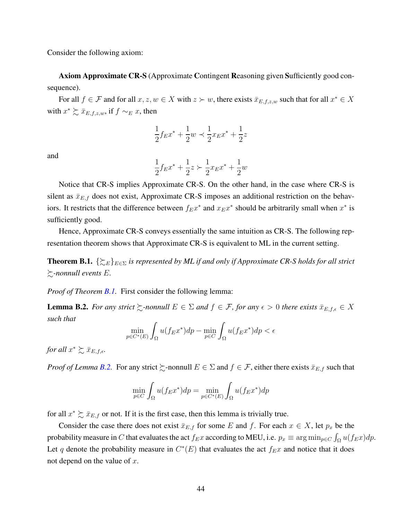Consider the following axiom:

Axiom Approximate CR-S (Approximate Contingent Reasoning given Sufficiently good consequence).

For all  $f \in \mathcal{F}$  and for all  $x, z, w \in X$  with  $z \succ w$ , there exists  $\bar{x}_{E,f,z,w}$  such that for all  $x^* \in X$ with  $x^* \succsim \bar{x}_{E,f,z,w}$ , if  $f \sim_E x$ , then

$$
\frac{1}{2}f_{E}x^{*} + \frac{1}{2}w \prec \frac{1}{2}x_{E}x^{*} + \frac{1}{2}z
$$

and

$$
\frac{1}{2}f_{E}x^{*} + \frac{1}{2}z \succ \frac{1}{2}x_{E}x^{*} + \frac{1}{2}w
$$

Notice that CR-S implies Approximate CR-S. On the other hand, in the case where CR-S is silent as  $\bar{x}_{E,f}$  does not exist, Approximate CR-S imposes an additional restriction on the behaviors. It restricts that the difference between  $f_{E}x^*$  and  $x_{E}x^*$  should be arbitrarily small when  $x^*$  is sufficiently good.

Hence, Approximate CR-S conveys essentially the same intuition as CR-S. The following representation theorem shows that Approximate CR-S is equivalent to ML in the current setting.

<span id="page-43-0"></span>**Theorem B.1.**  $\{\gtrsim_{E}\}_{E\in\Sigma}$  is represented by ML if and only if Approximate CR-S holds for all strict %*-nonnull events* E*.*

*Proof of Theorem [B.1.](#page-43-0)* First consider the following lemma:

<span id="page-43-1"></span>**Lemma B.2.** For any strict  $\succsim$ -nonnull  $E \in \Sigma$  and  $f \in \mathcal{F}$ , for any  $\epsilon > 0$  there exists  $\bar{x}_{E,f,\epsilon} \in X$ *such that*

$$
\min_{p \in C^*(E)} \int_{\Omega} u(f_E x^*) dp - \min_{p \in C} \int_{\Omega} u(f_E x^*) dp < \epsilon
$$

*for all*  $x^* \succsim \bar{x}_{E,f,\epsilon}$ *.* 

*Proof of Lemma [B.2.](#page-43-1)* For any strict  $\succeq$ -nonnull  $E \in \Sigma$  and  $f \in \mathcal{F}$ , either there exists  $\bar{x}_{E,f}$  such that

$$
\min_{p \in C} \int_{\Omega} u(f_{E}x^{*}) dp = \min_{p \in C^{*}(E)} \int_{\Omega} u(f_{E}x^{*}) dp
$$

for all  $x^* \succsim \bar{x}_{E,f}$  or not. If it is the first case, then this lemma is trivially true.

Consider the case there does not exist  $\bar{x}_{E,f}$  for some E and f. For each  $x \in X$ , let  $p_x$  be the probability measure in  $C$  that evaluates the act  $f_{E}x$  according to MEU, i.e.  $p_x \equiv \arg\min_{p\in C}\int_{\Omega}u(f_{E}x)dp$ . Let q denote the probability measure in  $C^*(E)$  that evaluates the act  $f_{E}x$  and notice that it does not depend on the value of  $x$ .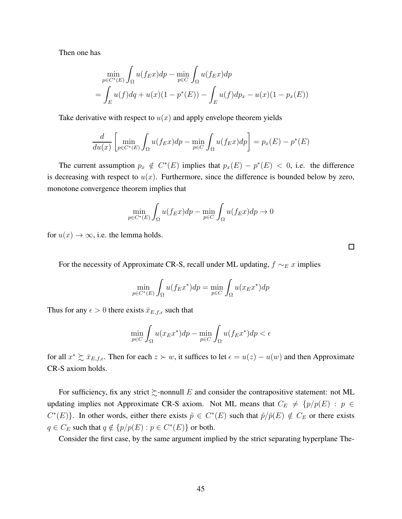Then one has

$$
\min_{p \in C^*(E)} \int_{\Omega} u(f_E x) dp - \min_{p \in C} \int_{\Omega} u(f_E x) dp
$$
  
= 
$$
\int_{E} u(f) dq + u(x)(1 - p^*(E)) - \int_{E} u(f) dp_x - u(x)(1 - p_x(E))
$$

Take derivative with respect to  $u(x)$  and apply envelope theorem yields

$$
\frac{d}{du(x)} \left[ \min_{p \in C^*(E)} \int_{\Omega} u(f_E x) dp - \min_{p \in C} \int_{\Omega} u(f_E x) dp \right] = p_x(E) - p^*(E)
$$

The current assumption  $p_x \notin C^*(E)$  implies that  $p_x(E) - p^*(E) < 0$ , i.e. the difference is decreasing with respect to  $u(x)$ . Furthermore, since the difference is bounded below by zero, monotone convergence theorem implies that

$$
\min_{p \in C^*(E)} \int_{\Omega} u(f_E x) dp - \min_{p \in C} \int_{\Omega} u(f_E x) dp \to 0
$$

for  $u(x) \to \infty$ , i.e. the lemma holds.

For the necessity of Approximate CR-S, recall under ML updating,  $f \sim_E x$  implies

$$
\min_{p \in C^*(E)} \int_{\Omega} u(f_E x^*) dp = \min_{p \in C} \int_{\Omega} u(x_E x^*) dp
$$

Thus for any  $\epsilon > 0$  there exists  $\bar{x}_{E,f,\epsilon}$  such that

$$
\min_{p \in C} \int_{\Omega} u(x_{E}x^{*}) dp - \min_{p \in C} \int_{\Omega} u(f_{E}x^{*}) dp < \epsilon
$$

for all  $x^* \succsim \bar{x}_{E,f,\epsilon}$ . Then for each  $z \succ w$ , it suffices to let  $\epsilon = u(z) - u(w)$  and then Approximate CR-S axiom holds.

For sufficiency, fix any strict  $\succsim$ -nonnull E and consider the contrapositive statement: not ML updating implies not Approximate CR-S axiom. Not ML means that  $C_E \neq \{p/p(E) : p \in$  $C^*(E)$ . In other words, either there exists  $\tilde{p} \in C^*(E)$  such that  $\tilde{p}/\tilde{p}(E) \notin C_E$  or there exists  $q \in C_E$  such that  $q \notin \{p/p(E) : p \in C^*(E)\}\)$  or both.

Consider the first case, by the same argument implied by the strict separating hyperplane The-

 $\Box$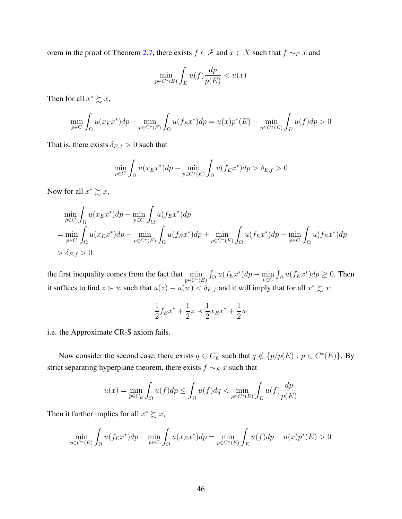orem in the proof of Theorem [2.7,](#page-10-0) there exists  $f \in \mathcal{F}$  and  $x \in X$  such that  $f \sim_E x$  and

$$
\min_{p \in C^*(E)} \int_E u(f) \frac{dp}{p(E)} < u(x)
$$

Then for all  $x^* \succsim x$ ,

$$
\min_{p \in C} \int_{\Omega} u(x_{E}x^{*}) dp - \min_{p \in C^{*}(E)} \int_{\Omega} u(f_{E}x^{*}) dp = u(x) p^{*}(E) - \min_{p \in C^{*}(E)} \int_{E} u(f) dp > 0
$$

That is, there exists  $\delta_{E,f} > 0$  such that

$$
\min_{p \in C} \int_{\Omega} u(x_E x^*) dp - \min_{p \in C^*(E)} \int_{\Omega} u(f_E x^*) dp > \delta_{E,f} > 0
$$

Now for all  $x^* \succsim x$ ,

$$
\min_{p \in C} \int_{\Omega} u(x_E x^*) dp - \min_{p \in C} \int_{\Omega} u(f_E x^*) dp
$$
\n
$$
= \min_{p \in C} \int_{\Omega} u(x_E x^*) dp - \min_{p \in C^*(E)} \int_{\Omega} u(f_E x^*) dp + \min_{p \in C^*(E)} \int_{\Omega} u(f_E x^*) dp - \min_{p \in C} \int_{\Omega} u(f_E x^*) dp
$$
\n
$$
> \delta_{E,f} > 0
$$

the first inequality comes from the fact that  $\min_{p \in C^*(E)} \int_{\Omega} u(f_E x^*) dp - \min_{p \in C} \int_{\Omega} u(f_E x^*) dp \ge 0$ . Then it suffices to find  $z \succ w$  such that  $u(z) - u(w) < \delta_{E,f}$  and it will imply that for all  $x^* \succsim x$ :

$$
\frac{1}{2}f_{E}x^{*} + \frac{1}{2}z \prec \frac{1}{2}x_{E}x^{*} + \frac{1}{2}w
$$

i.e. the Approximate CR-S axiom fails.

Now consider the second case, there exists  $q \in C_E$  such that  $q \notin \{p/p(E) : p \in C^*(E)\}$ . By strict separating hyperplane theorem, there exists  $f \sim_{E} x$  such that

$$
u(x) = \min_{p \in C_E} \int_{\Omega} u(f) dp \le \int_{\Omega} u(f) dq < \min_{p \in C^*(E)} \int_{E} u(f) \frac{dp}{p(E)}
$$

Then it further implies for all  $x^* \succsim x$ ,

$$
\min_{p \in C^*(E)} \int_{\Omega} u(f_E x^*) dp - \min_{p \in C} \int_{\Omega} u(x_E x^*) dp = \min_{p \in C^*(E)} \int_{E} u(f) dp - u(x) p^*(E) > 0
$$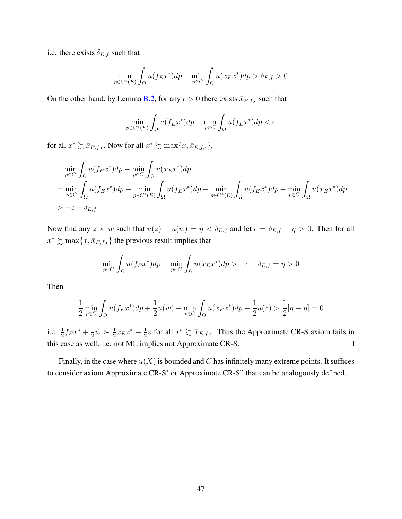i.e. there exists  $\delta_{E,f}$  such that

$$
\min_{p \in C^*(E)} \int_{\Omega} u(f_E x^*) dp - \min_{p \in C} \int_{\Omega} u(x_E x^*) dp > \delta_{E,f} > 0
$$

On the other hand, by Lemma [B.2,](#page-43-1) for any  $\epsilon > 0$  there exists  $\bar{x}_{E,f,\epsilon}$  such that

$$
\min_{p \in C^*(E)} \int_{\Omega} u(f_E x^*) dp - \min_{p \in C} \int_{\Omega} u(f_E x^*) dp < \epsilon
$$

for all  $x^* \succsim \bar{x}_{E,f,\epsilon}$ . Now for all  $x^* \succsim \max\{x,\bar{x}_{E,f,\epsilon}\},$ 

$$
\min_{p \in C} \int_{\Omega} u(f_{E}x^{*}) dp - \min_{p \in C} \int_{\Omega} u(x_{E}x^{*}) dp
$$
\n
$$
= \min_{p \in C} \int_{\Omega} u(f_{E}x^{*}) dp - \min_{p \in C^{*}(E)} \int_{\Omega} u(f_{E}x^{*}) dp + \min_{p \in C^{*}(E)} \int_{\Omega} u(f_{E}x^{*}) dp - \min_{p \in C} \int_{\Omega} u(x_{E}x^{*}) dp
$$
\n
$$
> -\epsilon + \delta_{E,f}
$$

Now find any  $z > w$  such that  $u(z) - u(w) = \eta < \delta_{E,f}$  and let  $\epsilon = \delta_{E,f} - \eta > 0$ . Then for all  $x^* \succsim \max\{x, \bar{x}_{E,f,\epsilon}\}\$ the previous result implies that

$$
\min_{p \in C} \int_{\Omega} u(f_{E}x^{*}) dp - \min_{p \in C} \int_{\Omega} u(x_{E}x^{*}) dp > -\epsilon + \delta_{E,f} = \eta > 0
$$

Then

$$
\frac{1}{2}\min_{p\in C}\int_{\Omega}u(f_{E}x^{*})dp + \frac{1}{2}u(w) - \min_{p\in C}\int_{\Omega}u(x_{E}x^{*})dp - \frac{1}{2}u(z) > \frac{1}{2}[\eta - \eta] = 0
$$

i.e.  $\frac{1}{2} f_E x^* + \frac{1}{2}$  $\frac{1}{2}w \succ \frac{1}{2}$  $\frac{1}{2}x_{E}x^{*}+\frac{1}{2}$  $\frac{1}{2}z$  for all  $x^* \succsim \bar{x}_{E,f,\epsilon}$ . Thus the Approximate CR-S axiom fails in this case as well, i.e. not ML implies not Approximate CR-S.  $\Box$ 

Finally, in the case where  $u(X)$  is bounded and C has infinitely many extreme points. It suffices to consider axiom Approximate CR-S' or Approximate CR-S" that can be analogously defined.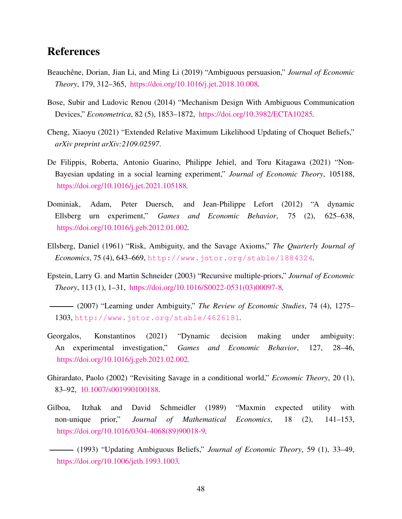# References

- <span id="page-47-4"></span>Beauchêne, Dorian, Jian Li, and Ming Li (2019) "Ambiguous persuasion," *Journal of Economic Theory*, 179, 312–365, [https://doi.org/10.1016/j.jet.2018.10.008.](http://dx.doi.org/https://doi.org/10.1016/j.jet.2018.10.008)
- <span id="page-47-5"></span>Bose, Subir and Ludovic Renou (2014) "Mechanism Design With Ambiguous Communication Devices," *Econometrica*, 82 (5), 1853–1872, [https://doi.org/10.3982/ECTA10285.](http://dx.doi.org/https://doi.org/10.3982/ECTA10285)
- <span id="page-47-7"></span>Cheng, Xiaoyu (2021) "Extended Relative Maximum Likelihood Updating of Choquet Beliefs," *arXiv preprint arXiv:2109.02597*.
- <span id="page-47-8"></span>De Filippis, Roberta, Antonio Guarino, Philippe Jehiel, and Toru Kitagawa (2021) "Non-Bayesian updating in a social learning experiment," *Journal of Economic Theory*, 105188, [https://doi.org/10.1016/j.jet.2021.105188.](http://dx.doi.org/https://doi.org/10.1016/j.jet.2021.105188)
- <span id="page-47-9"></span>Dominiak, Adam, Peter Duersch, and Jean-Philippe Lefort (2012) "A dynamic Ellsberg urn experiment," *Games and Economic Behavior*, 75 (2), 625–638, [https://doi.org/10.1016/j.geb.2012.01.002.](http://dx.doi.org/https://doi.org/10.1016/j.geb.2012.01.002)
- <span id="page-47-0"></span>Ellsberg, Daniel (1961) "Risk, Ambiguity, and the Savage Axioms," *The Quarterly Journal of Economics*, 75 (4), 643–669, <http://www.jstor.org/stable/1884324>.
- <span id="page-47-11"></span>Epstein, Larry G. and Martin Schneider (2003) "Recursive multiple-priors," *Journal of Economic Theory*, 113 (1), 1–31, [https://doi.org/10.1016/S0022-0531\(03\)00097-8.](http://dx.doi.org/https://doi.org/10.1016/S0022-0531(03)00097-8)
- <span id="page-47-6"></span>(2007) "Learning under Ambiguity," *The Review of Economic Studies*, 74 (4), 1275– 1303, <http://www.jstor.org/stable/4626181>.
- <span id="page-47-10"></span>Georgalos, Konstantinos (2021) "Dynamic decision making under ambiguity: An experimental investigation," *Games and Economic Behavior*, 127, 28–46, [https://doi.org/10.1016/j.geb.2021.02.002.](http://dx.doi.org/https://doi.org/10.1016/j.geb.2021.02.002)
- <span id="page-47-3"></span>Ghirardato, Paolo (2002) "Revisiting Savage in a conditional world," *Economic Theory*, 20 (1), 83–92, [10.1007/s001990100188.](http://dx.doi.org/10.1007/s001990100188)
- <span id="page-47-2"></span><span id="page-47-1"></span>Gilboa, Itzhak and David Schmeidler (1989) "Maxmin expected utility with non-unique prior," *Journal of Mathematical Economics*, 18 (2), 141–153, [https://doi.org/10.1016/0304-4068\(89\)90018-9.](http://dx.doi.org/https://doi.org/10.1016/0304-4068(89)90018-9)
	- (1993) "Updating Ambiguous Beliefs," *Journal of Economic Theory*, 59 (1), 33–49, [https://doi.org/10.1006/jeth.1993.1003.](http://dx.doi.org/https://doi.org/10.1006/jeth.1993.1003)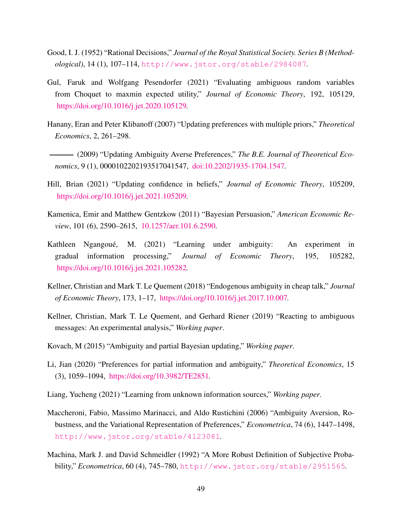- <span id="page-48-13"></span>Good, I. J. (1952) "Rational Decisions," *Journal of the Royal Statistical Society. Series B (Methodological)*, 14 (1), 107–114, <http://www.jstor.org/stable/2984087>.
- <span id="page-48-12"></span>Gul, Faruk and Wolfgang Pesendorfer (2021) "Evaluating ambiguous random variables from Choquet to maxmin expected utility," *Journal of Economic Theory*, 192, 105129, [https://doi.org/10.1016/j.jet.2020.105129.](http://dx.doi.org/https://doi.org/10.1016/j.jet.2020.105129)
- <span id="page-48-4"></span>Hanany, Eran and Peter Klibanoff (2007) "Updating preferences with multiple priors," *Theoretical Economics*, 2, 261–298.
- <span id="page-48-10"></span>(2009) "Updating Ambiguity Averse Preferences," *The B.E. Journal of Theoretical Economics*, 9 (1), 0000102202193517041547, [doi:10.2202/1935-1704.1547.](http://dx.doi.org/doi:10.2202/1935-1704.1547)
- <span id="page-48-9"></span>Hill, Brian (2021) "Updating confidence in beliefs," *Journal of Economic Theory*, 105209, [https://doi.org/10.1016/j.jet.2021.105209.](http://dx.doi.org/https://doi.org/10.1016/j.jet.2021.105209)
- <span id="page-48-6"></span>Kamenica, Emir and Matthew Gentzkow (2011) "Bayesian Persuasion," *American Economic Review*, 101 (6), 2590–2615, [10.1257/aer.101.6.2590.](http://dx.doi.org/10.1257/aer.101.6.2590)
- <span id="page-48-7"></span>Kathleen Ngangoué, M. (2021) "Learning under ambiguity: An experiment in gradual information processing," *Journal of Economic Theory*, 195, 105282, [https://doi.org/10.1016/j.jet.2021.105282.](http://dx.doi.org/https://doi.org/10.1016/j.jet.2021.105282)
- <span id="page-48-2"></span>Kellner, Christian and Mark T. Le Quement (2018) "Endogenous ambiguity in cheap talk," *Journal of Economic Theory*, 173, 1–17, [https://doi.org/10.1016/j.jet.2017.10.007.](http://dx.doi.org/https://doi.org/10.1016/j.jet.2017.10.007)
- <span id="page-48-5"></span>Kellner, Christian, Mark T. Le Quement, and Gerhard Riener (2019) "Reacting to ambiguous messages: An experimental analysis," *Working paper*.
- <span id="page-48-8"></span>Kovach, M (2015) "Ambiguity and partial Bayesian updating," *Working paper*.
- <span id="page-48-11"></span>Li, Jian (2020) "Preferences for partial information and ambiguity," *Theoretical Economics*, 15 (3), 1059–1094, [https://doi.org/10.3982/TE2851.](http://dx.doi.org/https://doi.org/10.3982/TE2851)
- <span id="page-48-1"></span>Liang, Yucheng (2021) "Learning from unknown information sources," *Working paper*.
- <span id="page-48-3"></span>Maccheroni, Fabio, Massimo Marinacci, and Aldo Rustichini (2006) "Ambiguity Aversion, Robustness, and the Variational Representation of Preferences," *Econometrica*, 74 (6), 1447–1498, <http://www.jstor.org/stable/4123081>.
- <span id="page-48-0"></span>Machina, Mark J. and David Schmeidler (1992) "A More Robust Definition of Subjective Probability," *Econometrica*, 60 (4), 745–780, <http://www.jstor.org/stable/2951565>.